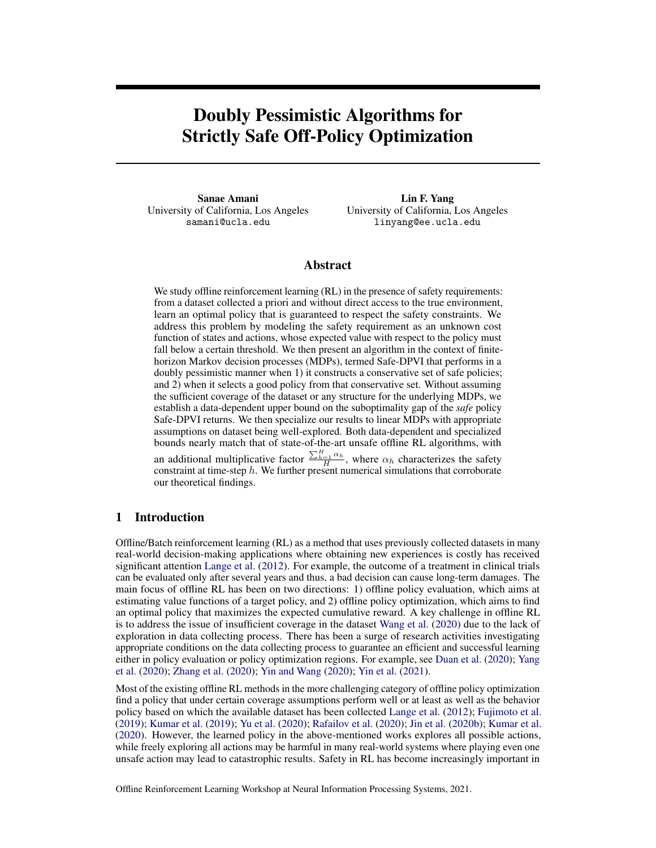# Doubly Pessimistic Algorithms for Strictly Safe Off-Policy Optimization

Sanae Amani University of California, Los Angeles samani@ucla.edu

Lin F. Yang University of California, Los Angeles linyang@ee.ucla.edu

### Abstract

We study offline reinforcement learning  $(RL)$  in the presence of safety requirements: from a dataset collected a priori and without direct access to the true environment, learn an optimal policy that is guaranteed to respect the safety constraints. We address this problem by modeling the safety requirement as an unknown cost function of states and actions, whose expected value with respect to the policy must fall below a certain threshold. We then present an algorithm in the context of finitehorizon Markov decision processes (MDPs), termed Safe-DPVI that performs in a doubly pessimistic manner when 1) it constructs a conservative set of safe policies; and 2) when it selects a good policy from that conservative set. Without assuming the sufficient coverage of the dataset or any structure for the underlying MDPs, we establish a data-dependent upper bound on the suboptimality gap of the *safe* policy Safe-DPVI returns. We then specialize our results to linear MDPs with appropriate assumptions on dataset being well-explored. Both data-dependent and specialized bounds nearly match that of state-of-the-art unsafe offline RL algorithms, with an additional multiplicative factor  $\frac{\sum_{h=1}^{H} \alpha_h}{H}$ , where  $\alpha_h$  characterizes the safety constraint at time-step  $h$ . We further present numerical simulations that corroborate our theoretical findings.

### 1 Introduction

Offline/Batch reinforcement learning (RL) as a method that uses previously collected datasets in many real-world decision-making applications where obtaining new experiences is costly has received significant attention [Lange et al.](#page-11-0) [\(2012\)](#page-11-0). For example, the outcome of a treatment in clinical trials can be evaluated only after several years and thus, a bad decision can cause long-term damages. The main focus of offline RL has been on two directions: 1) offline policy evaluation, which aims at estimating value functions of a target policy, and 2) offline policy optimization, which aims to find an optimal policy that maximizes the expected cumulative reward. A key challenge in offline RL is to address the issue of insufficient coverage in the dataset [Wang et al.](#page-11-1) [\(2020\)](#page-11-1) due to the lack of exploration in data collecting process. There has been a surge of research activities investigating appropriate conditions on the data collecting process to guarantee an efficient and successful learning either in policy evaluation or policy optimization regions. For example, see [Duan et al.](#page-10-0) [\(2020\)](#page-10-0); [Yang](#page-11-2) [et al.](#page-11-2) [\(2020\)](#page-11-2); [Zhang et al.](#page-11-3) [\(2020\)](#page-11-3); [Yin and Wang](#page-11-4) [\(2020\)](#page-11-4); [Yin et al.](#page-11-5) [\(2021\)](#page-11-5).

Most of the existing offline RL methods in the more challenging category of offline policy optimization find a policy that under certain coverage assumptions perform well or at least as well as the behavior policy based on which the available dataset has been collected [Lange et al.](#page-11-0) [\(2012\)](#page-11-0); [Fujimoto et al.](#page-10-1) [\(2019\)](#page-10-1); [Kumar et al.](#page-10-2) [\(2019\)](#page-10-2); [Yu et al.](#page-11-6) [\(2020\)](#page-11-6); [Rafailov et al.](#page-11-7) [\(2020\)](#page-11-7); [Jin et al.](#page-10-3) [\(2020b\)](#page-10-3); [Kumar et al.](#page-10-4) [\(2020\)](#page-10-4). However, the learned policy in the above-mentioned works explores all possible actions, while freely exploring all actions may be harmful in many real-world systems where playing even one unsafe action may lead to catastrophic results. Safety in RL has become increasingly important in

Offline Reinforcement Learning Workshop at Neural Information Processing Systems, 2021.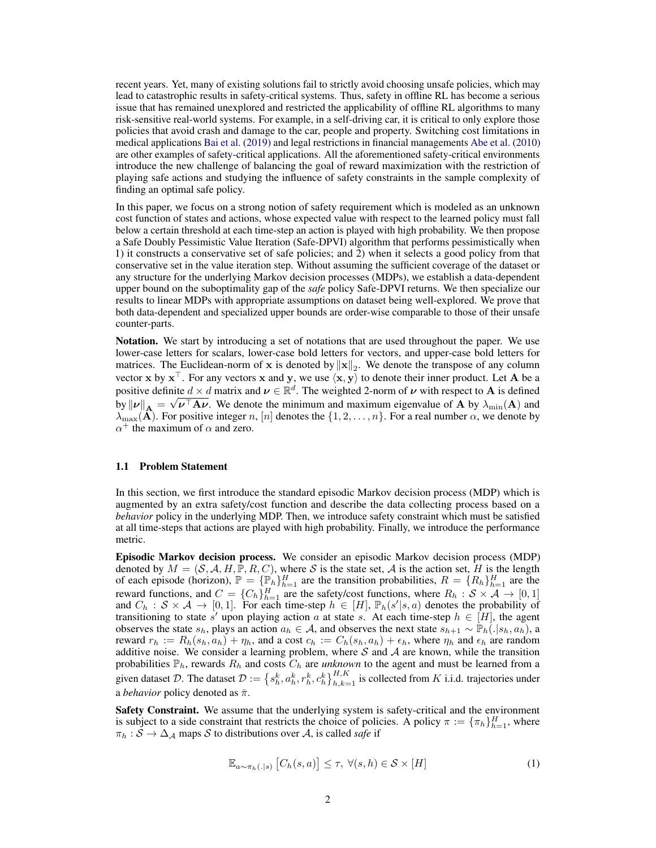recent years. Yet, many of existing solutions fail to strictly avoid choosing unsafe policies, which may lead to catastrophic results in safety-critical systems. Thus, safety in offline RL has become a serious issue that has remained unexplored and restricted the applicability of offline RL algorithms to many risk-sensitive real-world systems. For example, in a self-driving car, it is critical to only explore those policies that avoid crash and damage to the car, people and property. Switching cost limitations in medical applications [Bai et al.](#page-10-5) [\(2019\)](#page-10-5) and legal restrictions in financial managements [Abe et al.](#page-10-6) [\(2010\)](#page-10-6) are other examples of safety-critical applications. All the aforementioned safety-critical environments introduce the new challenge of balancing the goal of reward maximization with the restriction of playing safe actions and studying the influence of safety constraints in the sample complexity of finding an optimal safe policy.

In this paper, we focus on a strong notion of safety requirement which is modeled as an unknown cost function of states and actions, whose expected value with respect to the learned policy must fall below a certain threshold at each time-step an action is played with high probability. We then propose a Safe Doubly Pessimistic Value Iteration (Safe-DPVI) algorithm that performs pessimistically when 1) it constructs a conservative set of safe policies; and 2) when it selects a good policy from that conservative set in the value iteration step. Without assuming the sufficient coverage of the dataset or any structure for the underlying Markov decision processes (MDPs), we establish a data-dependent upper bound on the suboptimality gap of the *safe* policy Safe-DPVI returns. We then specialize our results to linear MDPs with appropriate assumptions on dataset being well-explored. We prove that both data-dependent and specialized upper bounds are order-wise comparable to those of their unsafe counter-parts.

Notation. We start by introducing a set of notations that are used throughout the paper. We use lower-case letters for scalars, lower-case bold letters for vectors, and upper-case bold letters for matrices. The Euclidean-norm of x is denoted by  $||x||_2$ . We denote the transpose of any column vector x by  $x^{\top}$ . For any vectors x and y, we use  $\langle x, y \rangle$  to denote their inner product. Let A be a positive definite  $d \times d$  matrix and  $\nu \in \mathbb{R}^d$ . The weighted 2-norm of  $\nu$  with respect to **A** is defined by  $\|\nu\|_A = \sqrt{\nu^{\top} A \nu}$ . We denote the minimum and maximum eigenvalue of A by  $\lambda_{\min}(A)$  and  $\lambda_{\max}({\bf A})$ . For positive integer n,  $[n]$  denotes the  $\{1, 2, ..., n\}$ . For a real number  $\alpha$ , we denote by  $\alpha^+$  the maximum of  $\alpha$  and zero.

### 1.1 Problem Statement

In this section, we first introduce the standard episodic Markov decision process (MDP) which is augmented by an extra safety/cost function and describe the data collecting process based on a *behavior* policy in the underlying MDP. Then, we introduce safety constraint which must be satisfied at all time-steps that actions are played with high probability. Finally, we introduce the performance metric.

Episodic Markov decision process. We consider an episodic Markov decision process (MDP) denoted by  $M = (S, A, H, \mathbb{P}, R, C)$ , where S is the state set, A is the action set, H is the length of each episode (horizon),  $\mathbb{P} = {\{\mathbb{P}_h\}}_{h=1}^H$  are the transition probabilities,  $R = {R_h\}}_{h=1}^H$  are the reward functions, and  $C = \{C_h\}_{h=1}^H$  are the safety/cost functions, where  $R_h : S \times A \to [0, 1]$ and  $C_h : S \times A \to [0,1]$ . For each time-step  $h \in [H]$ ,  $\mathbb{P}_h(s'|s,a)$  denotes the probability of transitioning to state s' upon playing action a at state s. At each time-step  $h \in [H]$ , the agent observes the state  $s_h$ , plays an action  $a_h \in \mathcal{A}$ , and observes the next state  $s_{h+1} \sim \mathbb{P}_h(.|s_h, a_h)$ , a reward  $r_h := R_h(s_h, a_h) + \eta_h$ , and a cost  $c_h := C_h(s_h, a_h) + \epsilon_h$ , where  $\eta_h$  and  $\epsilon_h$  are random additive noise. We consider a learning problem, where S and A are known, while the transition probabilities  $\mathbb{P}_h$ , rewards  $R_h$  and costs  $C_h$  are *unknown* to the agent and must be learned from a given dataset  $\mathcal{D}$ . The dataset  $\mathcal{D} := \{s_h^k, a_h^k, r_h^k, c_h^k\}_{h,k=1}^{H,K}$  is collected from K i.i.d. trajectories under a *behavior* policy denoted as  $\bar{\pi}$ .

Safety Constraint. We assume that the underlying system is safety-critical and the environment is subject to a side constraint that restricts the choice of policies. A policy  $\pi := {\{\pi_h\}}_{h=1}^H$ , where  $\pi_h : S \to \Delta_A$  maps S to distributions over A, is called *safe* if

<span id="page-1-0"></span>
$$
\mathbb{E}_{a \sim \pi_h(.|s)} [C_h(s, a)] \le \tau, \ \forall (s, h) \in \mathcal{S} \times [H]
$$
\n<sup>(1)</sup>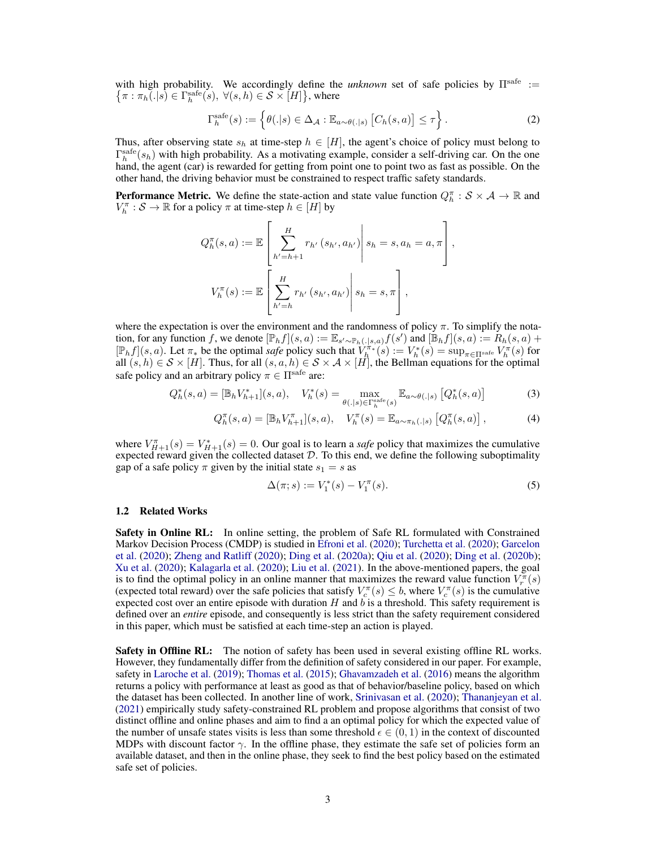with high probability. We accordingly define the *unknown* set of safe policies by  $\Pi^{\text{safe}} := {\{\pi : \pi_h(.|s) \in \Gamma^{\text{safe}}_h(s), \forall (s, h) \in \mathcal{S} \times [H]\}}$ , where

<span id="page-2-1"></span>
$$
\Gamma_h^{\text{safe}}(s) := \left\{ \theta(.|s) \in \Delta_{\mathcal{A}} : \mathbb{E}_{a \sim \theta(.|s)} \left[ C_h(s, a) \right] \le \tau \right\}.
$$
 (2)

Thus, after observing state  $s_h$  at time-step  $h \in [H]$ , the agent's choice of policy must belong to  $\Gamma_h^{\text{safe}}(s_h)$  with high probability. As a motivating example, consider a self-driving car. On the one hand, the agent (car) is rewarded for getting from point one to point two as fast as possible. On the other hand, the driving behavior must be constrained to respect traffic safety standards.

**Performance Metric.** We define the state-action and state value function  $Q_h^{\pi}$ :  $S \times A \to \mathbb{R}$  and  $V_h^{\pi}: \mathcal{S} \to \mathbb{R}$  for a policy  $\pi$  at time-step  $h \in [H]$  by

$$
Q_h^{\pi}(s, a) := \mathbb{E}\left[\sum_{h'=h+1}^H r_{h'}(s_{h'}, a_{h'}) \middle| s_h = s, a_h = a, \pi \right],
$$
  

$$
V_h^{\pi}(s) := \mathbb{E}\left[\sum_{h'=h}^H r_{h'}(s_{h'}, a_{h'}) \middle| s_h = s, \pi \right],
$$

where the expectation is over the environment and the randomness of policy  $\pi$ . To simplify the notation, for any function f, we denote  $[\mathbb{P}_h f](s, a) := \mathbb{E}_{s' \sim \mathbb{P}_h(\cdot | s, a)} f(s')$  and  $[\mathbb{B}_h f](s, a) := R_h(s, a) +$  $[\mathbb{P}_h f](s, a)$ . Let  $\pi_*$  be the optimal *safe* policy such that  $V_h^{\pi_*}(s) := V_h^*(s) = \sup_{\pi \in \Pi^{\text{safe}}} V_h^{\pi}(s)$  for all  $(s, h) \in S \times [H]$ . Thus, for all  $(s, a, h) \in S \times A \times [H]$ , the Bellman equations for the optimal safe policy and an arbitrary policy  $\pi \in \Pi^{\text{safe}}$  are:

$$
Q_h^*(s, a) = [\mathbb{B}_h V_{h+1}^*](s, a), \quad V_h^*(s) = \max_{\theta(.|s) \in \Gamma_h^{\text{safe}}(s)} \mathbb{E}_{a \sim \theta(.|s)} [Q_h^*(s, a)] \tag{3}
$$

$$
Q_h^{\pi}(s, a) = [\mathbb{B}_h V_{h+1}^{\pi}](s, a), \quad V_h^{\pi}(s) = \mathbb{E}_{a \sim \pi_h(.|s)} [Q_h^{\pi}(s, a)], \tag{4}
$$

where  $V_{H+1}^{\pi}(s) = V_{H+1}^*(s) = 0$ . Our goal is to learn a *safe* policy that maximizes the cumulative expected reward given the collected dataset  $D$ . To this end, we define the following suboptimality gap of a safe policy  $\pi$  given by the initial state  $s_1 = s$  as

<span id="page-2-0"></span>
$$
\Delta(\pi; s) := V_1^*(s) - V_1^{\pi}(s). \tag{5}
$$

#### 1.2 Related Works

**Safety in Online RL:** In online setting, the problem of Safe RL formulated with Constrained Markov Decision Process (CMDP) is studied in [Efroni et al.](#page-10-7) [\(2020\)](#page-10-7); [Turchetta et al.](#page-11-8) [\(2020\)](#page-11-8); [Garcelon](#page-10-8) [et al.](#page-10-8) [\(2020\)](#page-10-8); [Zheng and Ratliff](#page-11-9) [\(2020\)](#page-11-9); [Ding et al.](#page-10-9) [\(2020a\)](#page-10-9); [Qiu et al.](#page-11-10) [\(2020\)](#page-11-10); [Ding et al.](#page-10-10) [\(2020b\)](#page-10-10); [Xu et al.](#page-11-11) [\(2020\)](#page-11-11); [Kalagarla et al.](#page-10-11) [\(2020\)](#page-10-11); [Liu et al.](#page-11-12) [\(2021\)](#page-11-12). In the above-mentioned papers, the goal is to find the optimal policy in an online manner that maximizes the reward value function  $V_r^{\pi}(s)$ (expected total reward) over the safe policies that satisfy  $V_c^{\pi}(s) \leq b$ , where  $V_c^{\pi}(s)$  is the cumulative expected cost over an entire episode with duration  $H$  and  $b$  is a threshold. This safety requirement is defined over an *entire* episode, and consequently is less strict than the safety requirement considered in this paper, which must be satisfied at each time-step an action is played.

**Safety in Offline RL:** The notion of safety has been used in several existing offline RL works. However, they fundamentally differ from the definition of safety considered in our paper. For example, safety in [Laroche et al.](#page-11-13) [\(2019\)](#page-11-13); [Thomas et al.](#page-11-14) [\(2015\)](#page-11-14); [Ghavamzadeh et al.](#page-10-12) [\(2016\)](#page-10-12) means the algorithm returns a policy with performance at least as good as that of behavior/baseline policy, based on which the dataset has been collected. In another line of work, [Srinivasan et al.](#page-11-15) [\(2020\)](#page-11-15); [Thananjeyan et al.](#page-11-16) [\(2021\)](#page-11-16) empirically study safety-constrained RL problem and propose algorithms that consist of two distinct offline and online phases and aim to find a an optimal policy for which the expected value of the number of unsafe states visits is less than some threshold  $\epsilon \in (0,1)$  in the context of discounted MDPs with discount factor  $\gamma$ . In the offline phase, they estimate the safe set of policies form an available dataset, and then in the online phase, they seek to find the best policy based on the estimated safe set of policies.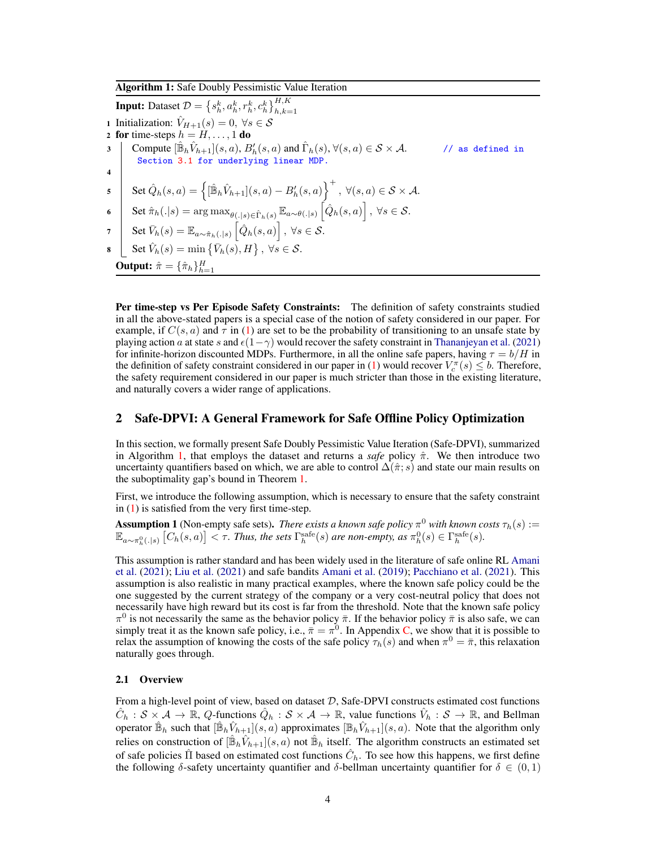Algorithm 1: Safe Doubly Pessimistic Value Iteration

**Input:** Dataset  $\mathcal{D} = \left\{ s_h^k, a_h^k, r_h^k, c_h^k \right\}_{h,k=1}^{H,K}$ 1 Initialization:  $\hat{V}_{H+1}(s) = 0, \ \forall s \in \mathcal{S}$ 2 for time-steps  $h = H, \ldots, 1$  do  $\begin{array}{l} \mathbf{3} \end{array} \bigg| \quad \textrm{Compute} \ [\hat{\mathbb{B}}_h \hat{V}_{h+1}](s,a), B_h'(s,a) \textrm{ and } \hat{\Gamma}_h(s), \forall (s,a) \in \mathcal{S} \times \mathcal{A}. \qquad \qquad \textrm{// as defined in} \end{array}$ Section [3.1](#page-6-0) for underlying linear MDP. 4 <sup>5</sup> Set Qˆ <sup>h</sup>(s, a) = <sup>n</sup> [Bˆ hVˆ <sup>h</sup>+1](s, a) − B<sup>0</sup> h (s, a) o<sup>+</sup> , ∀(s, a) ∈ S × A. <sup>6</sup> Set <sup>π</sup>ˆh(.|s) = arg maxθ(.|s)∈Γˆh(s) <sup>E</sup>a∼θ(.|s) h Qˆ <sup>h</sup>(s, a) i , ∀s ∈ S.  $\begin{array}{l} \tau \end{array} \bigg| \quad {\rm Set\,} \bar V_h(s) = \mathbb{E}_{a \sim \hat\pi_h(.|s)} \left[ \hat Q_h(s,a) \right], \ \forall s\in \mathcal{S}.$  $\mathbf{s} \quad \Big\vert \quad \mathrm{Set} \ \hat{V}_h(s) = \min \left\lbrace \bar{V}_h(s), H \right\rbrace, \ \forall s \in \mathcal{S}.$ **Output:**  $\hat{\pi} = \{\hat{\pi}_h\}_{h=1}^H$ 

<span id="page-3-0"></span>Per time-step vs Per Episode Safety Constraints: The definition of safety constraints studied in all the above-stated papers is a special case of the notion of safety considered in our paper. For example, if  $C(s, a)$  and  $\tau$  in [\(1\)](#page-1-0) are set to be the probability of transitioning to an unsafe state by playing action a at state s and  $\epsilon(1-\gamma)$  would recover the safety constraint in [Thananjeyan et al.](#page-11-16) [\(2021\)](#page-11-16) for infinite-horizon discounted MDPs. Furthermore, in all the online safe papers, having  $\tau = b/H$  in the definition of safety constraint considered in our paper in [\(1\)](#page-1-0) would recover  $V_c^{\pi}(s) \leq b$ . Therefore, the safety requirement considered in our paper is much stricter than those in the existing literature, and naturally covers a wider range of applications.

### 2 Safe-DPVI: A General Framework for Safe Offline Policy Optimization

In this section, we formally present Safe Doubly Pessimistic Value Iteration (Safe-DPVI), summarized in Algorithm [1,](#page-3-0) that employs the dataset and returns a *safe* policy  $\hat{\pi}$ . We then introduce two uncertainty quantifiers based on which, we are able to control  $\Delta(\hat{\pi}; s)$  and state our main results on the suboptimality gap's bound in Theorem [1.](#page-4-0)

First, we introduce the following assumption, which is necessary to ensure that the safety constraint in [\(1\)](#page-1-0) is satisfied from the very first time-step.

<span id="page-3-1"></span>**Assumption 1** (Non-empty safe sets). *There exists a known safe policy*  $\pi^0$  *with known costs*  $\tau_h(s)$  :=  $\mathbb{E}_{a\sim\pi_h^0(.|s)}\left[C_h(s,a)\right]<\tau$ . Thus, the sets  $\Gamma_h^{\text{safe}}(s)$  are non-empty, as  $\pi_h^0(s)\in\Gamma_h^{\text{safe}}(s)$ .

This assumption is rather standard and has been widely used in the literature of safe online RL [Amani](#page-10-13) [et al.](#page-10-13) [\(2021\)](#page-10-13); [Liu et al.](#page-11-12) [\(2021\)](#page-11-12) and safe bandits [Amani et al.](#page-10-14) [\(2019\)](#page-10-14); [Pacchiano et al.](#page-11-17) [\(2021\)](#page-11-17). This assumption is also realistic in many practical examples, where the known safe policy could be the one suggested by the current strategy of the company or a very cost-neutral policy that does not necessarily have high reward but its cost is far from the threshold. Note that the known safe policy  $\pi^0$  is not necessarily the same as the behavior policy  $\bar{\pi}$ . If the behavior policy  $\bar{\pi}$  is also safe, we can simply treat it as the known safe policy, i.e.,  $\bar{\pi} = \pi^0$ . In Appendix [C,](#page-17-0) we show that it is possible to relax the assumption of knowing the costs of the safe policy  $\tau_h(s)$  and when  $\pi^0 = \bar{\pi}$ , this relaxation naturally goes through.

#### 2.1 Overview

From a high-level point of view, based on dataset  $D$ , Safe-DPVI constructs estimated cost functions  $\hat{C}_h : \mathcal{S} \times \mathcal{A} \to \mathbb{R}$ , Q-functions  $\hat{Q}_h : \mathcal{S} \times \mathcal{A} \to \mathbb{R}$ , value functions  $\hat{V}_h : \mathcal{S} \to \mathbb{R}$ , and Bellman operator  $\hat{\mathbb{B}}_h$  such that  $[\hat{\mathbb{B}}_h \hat{V}_{h+1}](s, a)$  approximates  $[\mathbb{B}_h \hat{V}_{h+1}](s, a)$ . Note that the algorithm only relies on construction of  $[\hat{\mathbb{B}}_h \hat{V}_{h+1}](s, a)$  not  $\hat{\mathbb{B}}_h$  itself. The algorithm constructs an estimated set of safe policies  $\hat{\Pi}$  based on estimated cost functions  $\hat{C}_h$ . To see how this happens, we first define the following  $\delta$ -safety uncertainty quantifier and  $\delta$ -bellman uncertainty quantifier for  $\delta \in (0,1)$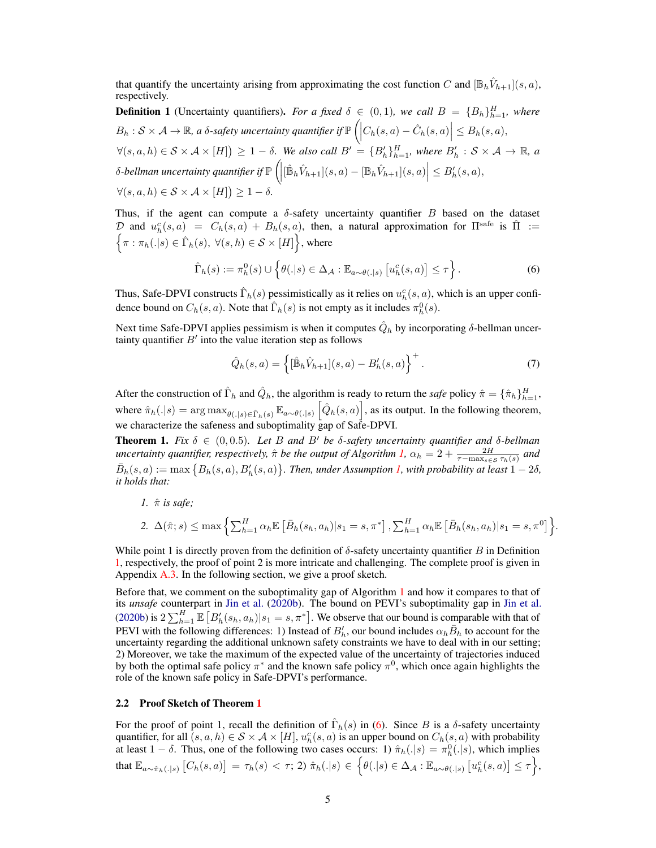that quantify the uncertainty arising from approximating the cost function C and  $[\mathbb{B}_h \hat{V}_{h+1}](s, a)$ , respectively.

<span id="page-4-1"></span>**Definition 1** (Uncertainty quantifiers). For a fixed  $\delta \in (0,1)$ , we call  $B = \{B_h\}_{h=1}^H$ , where  $B_h: \mathcal{S} \times \mathcal{A} \rightarrow \mathbb{R}$ , a  $\delta$ -safety uncertainty quantifier if  $\mathbb{P}\left(\left|C_h(s,a)-\hat{C}_h(s,a)\right|\leq B_h(s,a),\right.$ 

 $\forall (s,a,h) \in \mathcal{S} \times \mathcal{A} \times [H] \geq 1-\delta$ . We also call  $B' = \{B'_h\}_{h=1}^H$ , where  $B'_h : \mathcal{S} \times \mathcal{A} \rightarrow \mathbb{R}$ , a  $\delta$ -bellman uncertainty quantifier if  $\mathbb{P}\left(\left|[\hat{\mathbb{B}}_h\hat{V}_{h+1}](s,a)-[\mathbb{B}_h\hat{V}_{h+1}](s,a)\right|\leq B_h'(s,a),$  $\forall (s, a, h) \in S \times A \times [H] \geq 1 - \delta.$ 

Thus, if the agent can compute a  $\delta$ -safety uncertainty quantifier B based on the dataset D and  $u_h^c(s, a) = C_h(s, a) + B_h(s, a)$ , then, a natural approximation for  $\Pi^{\text{safe}}$  is  $\hat{\Pi}$  :=  $\left\{\pi : \pi_h(.|s) \in \hat{\Gamma}_h(s), \ \forall (s,h) \in \mathcal{S} \times [H]\right\}$ , where

$$
\widehat{\Gamma}_h(s) := \pi_h^0(s) \cup \left\{ \theta(.|s) \in \Delta_{\mathcal{A}} : \mathbb{E}_{a \sim \theta(.|s)} \left[ u_h^c(s, a) \right] \leq \tau \right\}.
$$
 (6)

Thus, Safe-DPVI constructs  $\hat{\Gamma}_h(s)$  pessimistically as it relies on  $u_h^c(s, a)$ , which is an upper confidence bound on  $C_h(s, a)$ . Note that  $\hat{\Gamma}_h(s)$  is not empty as it includes  $\pi_h^0(s)$ .

Next time Safe-DPVI applies pessimism is when it computes  $\hat{Q}_h$  by incorporating  $\delta$ -bellman uncertainty quantifier  $B'$  into the value iteration step as follows

$$
\hat{Q}_h(s,a) = \left\{ [\hat{\mathbb{B}}_h \hat{V}_{h+1}](s,a) - B'_h(s,a) \right\}^+.
$$
 (7)

<span id="page-4-2"></span>*.*

After the construction of  $\hat{\Gamma}_h$  and  $\hat{Q}_h$ , the algorithm is ready to return the *safe* policy  $\hat{\pi} = \{\hat{\pi}_h\}_{h=1}^H$ , where  $\hat{\pi}_h(.|s) = \arg \max_{\theta(.)|s) \in \hat{\Gamma}_h(s)} \mathbb{E}_{a \sim \theta(.|s)} \left[ \hat{Q}_h(s,a) \right]$ , as its output. In the following theorem, we characterize the safeness and suboptimality gap of Safe-DPVI.

<span id="page-4-0"></span>**Theorem 1.** Fix  $\delta \in (0, 0.5)$ . Let B and B' be  $\delta$ -safety uncertainty quantifier and  $\delta$ -bellman *uncertainty quantifier, respectively,*  $\hat{\pi}$  *be the output of Algorithm [1,](#page-3-0)*  $\alpha_h = 2 + \frac{2H}{\tau - \max_{s \in S} \tau_h(s)}$  and  $\bar{B}_h(s,a) := \max\big\{B_h(s,a), B_h'(s,a)\big\}$ . Then, under Assumption [1,](#page-3-1) with probability at least  $1-2\delta$ , *it holds that:*

*1.*  $\hat{\pi}$  *is safe*;

2. 
$$
\Delta(\hat{\pi}; s) \le \max \left\{ \sum_{h=1}^{H} \alpha_h \mathbb{E} \left[ \bar{B}_h(s_h, a_h) | s_1 = s, \pi^* \right], \sum_{h=1}^{H} \alpha_h \mathbb{E} \left[ \bar{B}_h(s_h, a_h) | s_1 = s, \pi^0 \right] \right\}
$$

While point 1 is directly proven from the definition of  $\delta$ -safety uncertainty quantifier B in Definition [1,](#page-4-1) respectively, the proof of point 2 is more intricate and challenging. The complete proof is given in Appendix [A.3.](#page-15-0) In the following section, we give a proof sketch.

Before that, we comment on the suboptimality gap of Algorithm [1](#page-3-0) and how it compares to that of its *unsafe* counterpart in [Jin et al.](#page-10-3) [\(2020b\)](#page-10-3). The bound on PEVI's suboptimality gap in [Jin et al.](#page-10-3) [\(2020b\)](#page-10-3) is  $2\sum_{h=1}^{H} \mathbb{E}\left[B_h'(s_h, a_h) | s_1 = s, \pi^*\right]$ . We observe that our bound is comparable with that of PEVI with the following differences: 1) Instead of  $B'_h$ , our bound includes  $\alpha_h \bar{B}_h$  to account for the uncertainty regarding the additional unknown safety constraints we have to deal with in our setting; 2) Moreover, we take the maximum of the expected value of the uncertainty of trajectories induced by both the optimal safe policy  $\pi^*$  and the known safe policy  $\pi^0$ , which once again highlights the role of the known safe policy in Safe-DPVI's performance.

### 2.2 Proof Sketch of Theorem [1](#page-4-0)

For the proof of point 1, recall the definition of  $\hat{\Gamma}_h(s)$  in [\(6\)](#page-4-2). Since B is a  $\delta$ -safety uncertainty quantifier, for all  $(s, a, h) \in S \times A \times [H]$ ,  $u_h^c(s, a)$  is an upper bound on  $C_h(s, a)$  with probability at least  $1 - \delta$ . Thus, one of the following two cases occurs: 1)  $\hat{\pi}_h(.|s) = \pi_h^0(.|s)$ , which implies  $\text{that } \mathbb{E}_{a \sim \hat{\pi}_h(.|s)} \left[ C_h(s,a) \right] \, = \, \tau_h(s) \, < \, \tau; \, 2) \; \hat{\pi}_h(.|s) \, \in \, \Big\{ \theta(.|s) \in \Delta_\mathcal{A} : \mathbb{E}_{a \sim \theta(.|s)} \left[ u_h^c(s,a) \right] \leq \tau \Big\},$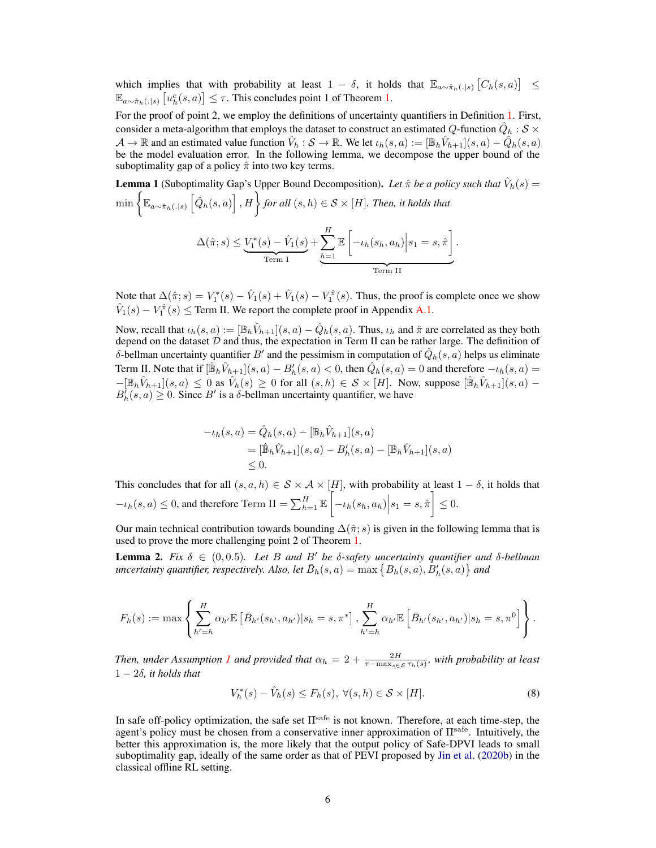which implies that with probability at least  $1 - \delta$ , it holds that  $\mathbb{E}_{a \sim \hat{\pi}_h(.|s)} [C_h(s, a)] \leq$  $\mathbb{E}_{a \sim \hat{\pi}_h(.|s)} \left[ u_h^c(s, a) \right] \leq \tau$ . This concludes point 1 of Theorem [1.](#page-4-0)

For the proof of point 2, we employ the definitions of uncertainty quantifiers in Definition [1.](#page-4-1) First, consider a meta-algorithm that employs the dataset to construct an estimated  $Q$ -function  $\hat{Q}_h: \mathcal{S} \times$  $\mathcal{A} \to \mathbb{R}$  and an estimated value function  $\hat{V}_h : \mathcal{S} \to \mathbb{R}$ . We let  $\iota_h(s, a) := [\mathbb{B}_h \hat{V}_{h+1}](s, a) - \hat{Q}_h(s, a)$ be the model evaluation error. In the following lemma, we decompose the upper bound of the suboptimality gap of a policy  $\hat{\pi}$  into two key terms.

<span id="page-5-1"></span>**Lemma 1** (Suboptimality Gap's Upper Bound Decomposition). Let  $\hat{\pi}$  be a policy such that  $\hat{V}_h(s)$  =  $\min\left\{\mathbb{E}_{a\sim\hat{\pi}_{h}(.|s)}\left[\hat{Q}_{h}(s,a)\right],H\right\}$  for all  $(s,h)\in\mathcal{S}\times[H].$  Then, it holds that  $\Delta(\hat{\pi}; s) \leq V_1^*(s) - \hat{V}_1(s)$ Term I  $+\sum_{n=1}^{H}$  $h=1$  $\mathbb{E}\left[-\iota_h(s_h,a_h)\Big|s_1=s,\hat{\pi}\right]$ | {z } Term II .

Note that  $\Delta(\hat{\pi}; s) = V_1^*(s) - \hat{V}_1(s) + \hat{V}_1(s) - V_1^{\hat{\pi}}(s)$ . Thus, the proof is complete once we show  $\hat{V}_1(s) - V_1^{\hat{\pi}}(s) \leq$  Term II. We report the complete proof in Appendix [A.1.](#page-12-0)

Now, recall that  $\iota_h(s, a) := [\mathbb{B}_h \hat{V}_{h+1}](s, a) - \hat{Q}_h(s, a)$ . Thus,  $\iota_h$  and  $\hat{\pi}$  are correlated as they both depend on the dataset  $D$  and thus, the expectation in Term II can be rather large. The definition of δ-bellman uncertainty quantifier  $B'$  and the pessimism in computation of  $\hat{Q}_h(s, a)$  helps us eliminate Term II. Note that if  $[\hat{\mathbb{B}}_h \hat{V}_{h+1}](s, a) - B'_h(s, a) < 0$ , then  $\hat{Q}_h(s, a) = 0$  and therefore  $-\iota_h(s, a) = 0$  $-[\mathbb{B}_h\hat{V}_{h+1}](s,a) \leq 0$  as  $\hat{V}_h(s) \geq 0$  for all  $(s,h) \in S \times [H]$ . Now, suppose  $[\hat{\mathbb{B}}_h\hat{V}_{h+1}](s,a)$  $B_h^{\dagger}(s, a) \geq 0$ . Since B' is a  $\delta$ -bellman uncertainty quantifier, we have

$$
-i_h(s, a) = \hat{Q}_h(s, a) - [\mathbb{B}_h \hat{V}_{h+1}](s, a)
$$
  
=  $[\hat{\mathbb{B}}_h \hat{V}_{h+1}](s, a) - B'_h(s, a) - [\mathbb{B}_h \hat{V}_{h+1}](s, a)$   
 $\leq 0.$ 

This concludes that for all  $(s, a, h) \in S \times A \times [H]$ , with probability at least  $1 - \delta$ , it holds that  $-t_h(s, a) \leq 0$ , and therefore Term II =  $\sum_{h=1}^H \mathbb{E}\left[-t_h(s_h, a_h)\middle| s_1 = s, \hat{\pi}\right] \leq 0$ .

Our main technical contribution towards bounding  $\Delta(\hat{\pi}; s)$  is given in the following lemma that is used to prove the more challenging point 2 of Theorem [1.](#page-4-0)

<span id="page-5-0"></span>**Lemma 2.** *Fix*  $\delta \in (0, 0.5)$ *. Let* B and B' be  $\delta$ -safety uncertainty quantifier and  $\delta$ -bellman uncertainty quantifier, respectively. Also, let  $\bar{B}_h(s,a) = \max\left\{B_h(s,a), B_h'(s,a)\right\}$  and

$$
F_h(s) := \max \left\{ \sum_{h'=h}^H \alpha_{h'} \mathbb{E} \left[ \bar{B}_{h'}(s_{h'}, a_{h'}) | s_h = s, \pi^* \right], \sum_{h'=h}^H \alpha_{h'} \mathbb{E} \left[ \bar{B}_{h'}(s_{h'}, a_{h'}) | s_h = s, \pi^0 \right] \right\}.
$$

*Then, under Assumption [1](#page-3-1) and provided that*  $\alpha_h = 2 + \frac{2H}{\tau - \max_{s \in S} \tau_h(s)}$ , with probability at least  $1 - 2\delta$ *, it holds that* 

<span id="page-5-2"></span>
$$
V_h^*(s) - \hat{V}_h(s) \le F_h(s), \ \forall (s, h) \in \mathcal{S} \times [H]. \tag{8}
$$

In safe off-policy optimization, the safe set  $\Pi^{\text{safe}}$  is not known. Therefore, at each time-step, the agent's policy must be chosen from a conservative inner approximation of  $\Pi^{\text{safe}}$ . Intuitively, the better this approximation is, the more likely that the output policy of Safe-DPVI leads to small suboptimality gap, ideally of the same order as that of PEVI proposed by [Jin et al.](#page-10-3) [\(2020b\)](#page-10-3) in the classical offline RL setting.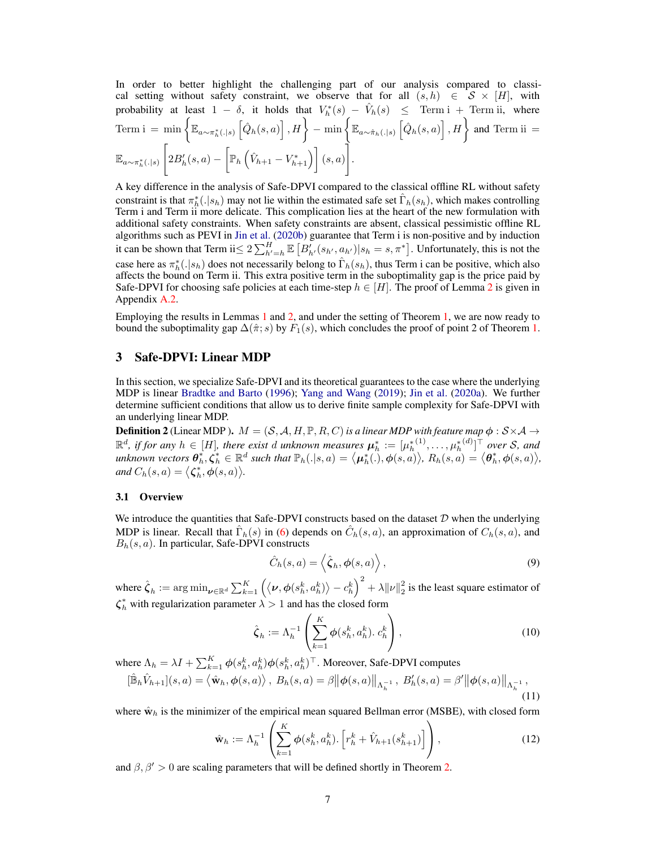In order to better highlight the challenging part of our analysis compared to classical setting without safety constraint, we observe that for all  $(s, h) \in S \times [H]$ , with probability at least  $1 - \delta$ , it holds that  $V_h^*(s) - \hat{V}_h(s) \leq \text{Term i} + \text{Term ii}$ , where  $\text{Term i = min} \left\{ \mathbb{E}_{a \sim \pi^*_h(.|s)} \left[ \hat{Q}_h(s, a) \right], H \right\} - \min \left\{ \mathbb{E}_{a \sim \hat{\pi}_h(.|s)} \left[ \hat{Q}_h(s, a) \right], H \right\} \text{ and Term ii =}$  $\mathbb{E}_{a\sim \pi_h^*(.\mid s)}$  $\lceil$  $2B'_h(s,a) - \left[ \mathbb{P}_h \left( \hat{V}_{h+1} - V_{h+1}^* \right) \right] (s,a)$ 1 .

A key difference in the analysis of Safe-DPVI compared to the classical offline RL without safety constraint is that  $\pi_h^*(.|s_h)$  may not lie within the estimated safe set  $\hat{\Gamma}_h(s_h)$ , which makes controlling Term i and Term ii more delicate. This complication lies at the heart of the new formulation with additional safety constraints. When safety constraints are absent, classical pessimistic offline RL algorithms such as PEVI in [Jin et al.](#page-10-3) [\(2020b\)](#page-10-3) guarantee that Term i is non-positive and by induction it can be shown that Term ii $\leq 2\sum_{h'=h}^{H} \mathbb{E}\left[B'_{h'}(s_{h'}, a_{h'}) | s_h = s, \pi^*\right]$ . Unfortunately, this is not the case here as  $\pi_h^*(. |s_h)$  does not necessarily belong to  $\hat{\Gamma}_h(s_h)$ , thus Term i can be positive, which also affects the bound on Term ii. This extra positive term in the suboptimality gap is the price paid by Safe-DPVI for choosing safe policies at each time-step  $h \in [H]$ . The proof of Lemma [2](#page-5-0) is given in Appendix [A.2.](#page-12-1)

Employing the results in Lemmas [1](#page-5-1) and [2,](#page-5-0) and under the setting of Theorem [1,](#page-4-0) we are now ready to bound the suboptimality gap  $\Delta(\hat{\pi}; s)$  by  $F_1(s)$ , which concludes the proof of point 2 of Theorem [1.](#page-4-0)

### <span id="page-6-2"></span>3 Safe-DPVI: Linear MDP

In this section, we specialize Safe-DPVI and its theoretical guarantees to the case where the underlying MDP is linear [Bradtke and Barto](#page-10-15) [\(1996\)](#page-10-15); [Yang and Wang](#page-11-18) [\(2019\)](#page-11-18); [Jin et al.](#page-10-16) [\(2020a\)](#page-10-16). We further determine sufficient conditions that allow us to derive finite sample complexity for Safe-DPVI with an underlying linear MDP.

<span id="page-6-1"></span>**Definition 2** (Linear MDP).  $M = (S, A, H, \mathbb{P}, R, C)$  is a linear MDP with feature map  $\phi : S \times A \rightarrow$  $\mathbb{R}^d$ , if for any  $h \in [H]$ , there exist  $d$  unknown measures  $\boldsymbol{\mu}_h^* := [\mu_h^{*(1)}, \dots, \mu_h^{*(d)}]^\top$  over  $\mathcal{S}$ , and  $\mathcal{L}$  and  $\mathcal{L}$  and  $\mathcal{L}$  is  $\mathcal{L}$  and  $\mathcal{L}$  and  $\mathcal{L}$  and  $\mathbb{P}_h(.|s,a) = \langle \boldsymbol{\mu}_h^*(.), \boldsymbol{\phi}(s,a) \rangle$ ,  $R_h(s,a) = \langle \boldsymbol{\theta}_h^*, \boldsymbol{\phi}(s,a) \rangle$ , *and*  $C_h(s, a) = \langle \zeta_h^*, \phi(s, a) \rangle$ .

#### <span id="page-6-0"></span>3.1 Overview

We introduce the quantities that Safe-DPVI constructs based on the dataset  $D$  when the underlying MDP is linear. Recall that  $\hat{\Gamma}_h(s)$  in [\(6\)](#page-4-2) depends on  $\hat{C}_h(s, a)$ , an approximation of  $C_h(s, a)$ , and  $B_h(s, a)$ . In particular, Safe-DPVI constructs

$$
\hat{C}_h(s,a) = \left\langle \hat{\zeta}_h, \phi(s,a) \right\rangle, \tag{9}
$$

where  $\hat{\zeta}_h := \arg\min_{\pmb{\nu} \in \mathbb{R}^d} \sum_{k=1}^K \left( \langle \pmb{\nu}, \pmb{\phi}(s_h^k, a_h^k) \rangle - c_h^k \right)^2 + \lambda \|\pmb{\nu}\|_2^2$  is the least square estimator of  $\zeta_h^*$  with regularization parameter  $\lambda > 1$  and has the closed form

$$
\hat{\zeta}_h := \Lambda_h^{-1} \left( \sum_{k=1}^K \phi(s_h^k, a_h^k) \cdot c_h^k \right),\tag{10}
$$

where  $\Lambda_h = \lambda I + \sum_{k=1}^K \phi(s_h^k, a_h^k) \phi(s_h^k, a_h^k)^\top$ . Moreover, Safe-DPVI computes  $[\hat{\mathbb{B}}_h\hat{V}_{h+1}](s,a) = \langle \hat{\mathbf{w}}_h, \phi(s,a) \rangle$ ,  $B_h(s,a) = \beta \big\|\phi(s,a)\big\|_{\Lambda_h^{-1}}$ ,  $B'_h(s,a) = \beta' \big\|\phi(s,a)\big\|_{\Lambda_h^{-1}}$ ,

$$
\|u_{n+1}(\cdot,\omega) - \langle u_{n}, \varphi(\cdot,\omega) \rangle, \quad \text{and} \quad \text{where } \alpha \in \mathbb{R}^{n} \text{ and } \alpha \in \mathbb{R}^{n} \text{ and } \alpha \in \mathbb{R}^{n} \text{ and } \alpha \in \mathbb{R}^{n} \text{ and } \alpha \in \mathbb{R}^{n} \text{ and } \alpha \in \mathbb{R}^{n} \text{ and } \alpha \in \mathbb{R}^{n} \text{ and } \alpha \in \mathbb{R}^{n} \text{ and } \alpha \in \mathbb{R}^{n} \text{ and } \alpha \in \mathbb{R}^{n} \text{ and } \alpha \in \mathbb{R}^{n} \text{ and } \alpha \in \mathbb{R}^{n} \text{ and } \alpha \in \mathbb{R}^{n} \text{ and } \alpha \in \mathbb{R}^{n} \text{ and } \alpha \in \mathbb{R}^{n} \text{ and } \alpha \in \mathbb{R}^{n} \text{ and } \alpha \in \mathbb{R}^{n} \text{ and } \alpha \in \mathbb{R}^{n} \text{ and } \alpha \in \mathbb{R}^{n} \text{ and } \alpha \in \mathbb{R}^{n} \text{ and } \alpha \in \mathbb{R}^{n} \text{ and } \alpha \in \mathbb{R}^{n} \text{ and } \alpha \in \mathbb{R}^{n} \text{ and } \alpha \in \mathbb{R}^{n} \text{ and } \alpha \in \mathbb{R}^{n} \text{ and } \alpha \in \mathbb{R}^{n} \text{ and } \alpha \in \mathbb{R}^{n} \text{ and } \alpha \in \mathbb{R}^{n} \text{ and } \alpha \in \mathbb{R}^{n} \text{ and } \alpha \in \mathbb{R}^{n} \text{ and } \alpha \in \mathbb{R}^{n} \text{ and } \alpha \in \mathbb{R}^{n} \text{ and } \alpha \in \mathbb{R}^{n} \text{ and } \alpha \in \mathbb{R}^{n} \text{ and } \alpha \in \mathbb{R}^{n} \text{ and } \alpha \in \mathbb{R}^{n} \text{ and } \alpha \in \mathbb{R}^{n} \text{ and } \alpha \in \mathbb{R}^{n} \text{ and } \alpha \in \mathbb{R}^{n} \text{ and } \alpha \in \mathbb{R}^{n}
$$

where  $\hat{\mathbf{w}}_h$  is the minimizer of the empirical mean squared Bellman error (MSBE), with closed form

$$
\hat{\mathbf{w}}_h := \Lambda_h^{-1} \left( \sum_{k=1}^K \phi(s_h^k, a_h^k) \cdot \left[ r_h^k + \hat{V}_{h+1}(s_{h+1}^k) \right] \right), \tag{12}
$$

and  $\beta$ ,  $\beta' > 0$  are scaling parameters that will be defined shortly in Theorem [2.](#page-7-0)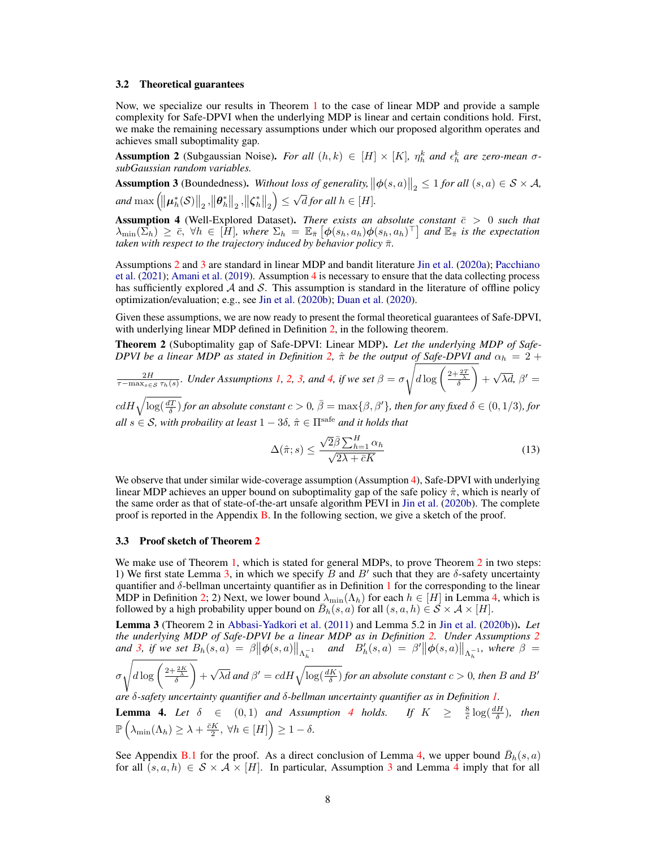#### 3.2 Theoretical guarantees

Now, we specialize our results in Theorem [1](#page-4-0) to the case of linear MDP and provide a sample complexity for Safe-DPVI when the underlying MDP is linear and certain conditions hold. First, we make the remaining necessary assumptions under which our proposed algorithm operates and achieves small suboptimality gap.

<span id="page-7-1"></span>Assumption 2 (Subgaussian Noise). *For all*  $(h, k) \in [H] \times [K]$ ,  $\eta_h^k$  and  $\epsilon_h^k$  are zero-mean  $\sigma$ *subGaussian random variables.*

<span id="page-7-2"></span>Assumption 3 (Boundedness). Without loss of generality,  $\|\phi(s, a)\|_2 \leq 1$  for all  $(s, a) \in S \times A$ , and  $\max\left(\left\Vert \bm{\mu}_h^*(\mathcal{S})\right\Vert_2,\left\Vert \bm{\theta}_h^*\right\Vert_2,\left\Vert \bm{\zeta}_h^*\right\Vert_2\right)\leq$ √ *d* for all  $h \in [H]$ .

<span id="page-7-3"></span>**Assumption 4** (Well-Explored Dataset). *There exists an absolute constant*  $\bar{c} > 0$  *such that*  $\lambda_{\min}(\Sigma_h) \geq \bar{c}$ ,  $\forall h \in [\bar{H}]$ , where  $\Sigma_h = \mathbb{E}_{\bar{\pi}} \left[ \phi(s_h, a_h) \phi(s_h, a_h)^\top \right]$  and  $\mathbb{E}_{\bar{\pi}}$  is the expectation *taken with respect to the trajectory induced by behavior policy*  $\bar{\pi}$ *.* 

Assumptions [2](#page-7-1) and [3](#page-7-2) are standard in linear MDP and bandit literature [Jin et al.](#page-10-16) [\(2020a\)](#page-10-16); [Pacchiano](#page-11-17) [et al.](#page-11-17) [\(2021\)](#page-11-17); [Amani et al.](#page-10-14) [\(2019\)](#page-10-14). Assumption [4](#page-7-3) is necessary to ensure that the data collecting process has sufficiently explored  $\mathcal A$  and  $\mathcal S$ . This assumption is standard in the literature of offline policy optimization/evaluation; e.g., see [Jin et al.](#page-10-3) [\(2020b\)](#page-10-3); [Duan et al.](#page-10-0) [\(2020\)](#page-10-0).

Given these assumptions, we are now ready to present the formal theoretical guarantees of Safe-DPVI, with underlying linear MDP defined in Definition [2,](#page-6-1) in the following theorem.

<span id="page-7-0"></span>Theorem 2 (Suboptimality gap of Safe-DPVI: Linear MDP). *Let the underlying MDP of Safe-DPVI be a linear MDP as stated in Definition* [2,](#page-6-1)  $\hat{\pi}$  *be the output of Safe-DPVI and*  $\alpha_h = 2 + \frac{1}{2}$ 

$$
\frac{2H}{\tau-\max_{s\in\mathcal{S}}\tau_h(s)}.
$$
 Under Assumptions 1, 2, 3, and 4, if we set  $\beta = \sigma \sqrt{d \log \left(\frac{2+\frac{2T}{\lambda}}{\delta}\right)} + \sqrt{\lambda d}$ ,  $\beta' =$ 

 $cdH\sqrt{\log(\frac{dT}{\delta})}$  for an absolute constant  $c>0$ ,  $\bar{\beta}=\max\{\beta,\beta'\}$ , then for any fixed  $\delta\in(0,1/3)$ , for *all*  $s \in S$ *, with probaility at least*  $1 - 3\delta$ *,*  $\hat{\pi} \in \Pi^{\text{safe}}$  *and it holds that* 

$$
\Delta(\hat{\pi};s) \le \frac{\sqrt{2}\bar{\beta}\sum_{h=1}^{H}\alpha_h}{\sqrt{2\lambda + \bar{c}K}}\tag{13}
$$

We observe that under similar wide-coverage assumption (Assumption [4\)](#page-7-3), Safe-DPVI with underlying linear MDP achieves an upper bound on suboptimality gap of the safe policy  $\hat{\pi}$ , which is nearly of the same order as that of state-of-the-art unsafe algorithm PEVI in [Jin et al.](#page-10-3) [\(2020b\)](#page-10-3). The complete proof is reported in the Appendix [B.](#page-16-0) In the following section, we give a sketch of the proof.

#### 3.3 Proof sketch of Theorem [2](#page-7-0)

We make use of Theorem [1,](#page-4-0) which is stated for general MDPs, to prove Theorem [2](#page-7-0) in two steps: 1) We first state Lemma [3,](#page-7-4) in which we specify B and B' such that they are  $\delta$ -safety uncertainty quantifier and  $\delta$ -bellman uncertainty quantifier as in Definition [1](#page-4-1) for the corresponding to the linear MDP in Definition [2;](#page-6-1) 2) Next, we lower bound  $\lambda_{\min}(\Lambda_h)$  for each  $h \in [H]$  in Lemma [4,](#page-7-5) which is followed by a high probability upper bound on  $\overline{B}_h(s, a)$  for all  $(s, a, h) \in S \times A \times [H]$ .

<span id="page-7-4"></span>Lemma 3 (Theorem 2 in [Abbasi-Yadkori et al.](#page-10-17) [\(2011\)](#page-10-17) and Lemma 5.2 in [Jin et al.](#page-10-3) [\(2020b\)](#page-10-3)). *Let the underlying MDP of Safe-DPVI be a linear MDP as in Definition [2.](#page-6-1) Under Assumptions [2](#page-7-1)* and [3,](#page-7-2) if we set  $B_h(s, a) = \beta \|\phi(s, a)\|_{\Lambda_h^{-1}}$  and  $B'_h(s, a) = \beta' \|\phi(s, a)\|_{\Lambda_h^{-1}}$ , where  $\beta =$ 

$$
\sigma \sqrt{d \log \left(\frac{2 + \frac{2K}{\lambda}}{\delta}\right)} + \sqrt{\lambda d} \text{ and } \beta' = c dH \sqrt{\log(\frac{dK}{\delta})} \text{ for an absolute constant } c > 0, \text{ then } B \text{ and } B'
$$

*are* δ*-safety uncertainty quantifier and* δ*-bellman uncertainty quantifier as in Definition [1.](#page-4-1)*

<span id="page-7-5"></span>**Lemma [4](#page-7-3).** Let  $\delta \in (0,1)$  and Assumption 4 holds. If  $K \geq \frac{8}{c} \log(\frac{dH}{\delta})$ , then  $\mathbb{P}\left(\lambda_{\min}(\Lambda_h) \geq \lambda + \frac{\bar{c}K}{2}, \ \forall h \in [H]\right) \geq 1 - \delta.$ 

See Appendix [B.1](#page-16-1) for the proof. As a direct conclusion of Lemma [4,](#page-7-5) we upper bound  $\bar{B}_h(s, a)$ for all  $(s, a, h) \in S \times A \times [H]$ . In particular, Assumption [3](#page-7-2) and Lemma [4](#page-7-5) imply that for all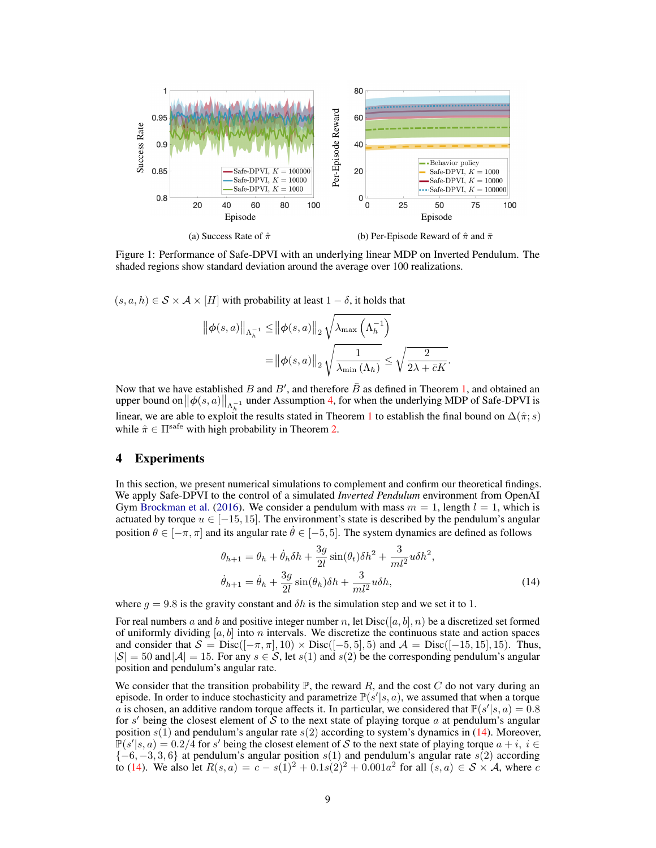<span id="page-8-1"></span>

Figure 1: Performance of Safe-DPVI with an underlying linear MDP on Inverted Pendulum. The shaded regions show standard deviation around the average over 100 realizations.

 $(s, a, h) \in S \times A \times [H]$  with probability at least  $1 - \delta$ , it holds that

$$
\|\phi(s,a)\|_{\Lambda_h^{-1}} \le \|\phi(s,a)\|_2 \sqrt{\lambda_{\max}\left(\Lambda_h^{-1}\right)}
$$

$$
= \|\phi(s,a)\|_2 \sqrt{\frac{1}{\lambda_{\min}\left(\Lambda_h\right)}} \le \sqrt{\frac{2}{2\lambda + \bar{c}K}}
$$

Now that we have established B and B', and therefore  $\overline{B}$  as defined in Theorem [1,](#page-4-0) and obtained an upper bound on  $\|\phi(s, a)\|_{\Lambda_h^{-1}}$  under Assumption [4,](#page-7-3) for when the underlying MDP of Safe-DPVI is linear, we are able to exploit the results stated in Theorem [1](#page-4-0) to establish the final bound on  $\Delta(\hat{\pi}; s)$ while  $\hat{\pi} \in \Pi^{\text{safe}}$  with high probability in Theorem [2.](#page-7-0)

## 4 Experiments

In this section, we present numerical simulations to complement and confirm our theoretical findings. We apply Safe-DPVI to the control of a simulated *Inverted Pendulum* environment from OpenAI Gym [Brockman et al.](#page-10-18) [\(2016\)](#page-10-18). We consider a pendulum with mass  $m = 1$ , length  $l = 1$ , which is actuated by torque  $u \in [-15, 15]$ . The environment's state is described by the pendulum's angular position  $\theta \in [-\pi, \pi]$  and its angular rate  $\hat{\theta} \in [-5, 5]$ . The system dynamics are defined as follows

$$
\theta_{h+1} = \theta_h + \dot{\theta}_h \delta h + \frac{3g}{2l} \sin(\theta_t) \delta h^2 + \frac{3}{ml^2} u \delta h^2,
$$
  

$$
\dot{\theta}_{h+1} = \dot{\theta}_h + \frac{3g}{2l} \sin(\theta_h) \delta h + \frac{3}{ml^2} u \delta h,
$$
 (14)

<span id="page-8-0"></span>.

where  $g = 9.8$  is the gravity constant and  $\delta h$  is the simulation step and we set it to 1.

For real numbers a and b and positive integer number n, let  $Disc([a, b], n)$  be a discretized set formed of uniformly dividing  $[a, b]$  into n intervals. We discretize the continuous state and action spaces and consider that  $S = Disc([-\pi, \pi], 10) \times Disc([-5, 5], 5)$  and  $\mathcal{A} = Disc([-15, 15], 15)$ . Thus,  $|S| = 50$  and  $|A| = 15$ . For any  $s \in S$ , let  $s(1)$  and  $s(2)$  be the corresponding pendulum's angular position and pendulum's angular rate.

We consider that the transition probability  $\mathbb{P}$ , the reward R, and the cost C do not vary during an episode. In order to induce stochasticity and parametrize  $\mathbb{P}(s'|s, a)$ , we assumed that when a torque a is chosen, an additive random torque affects it. In particular, we considered that  $\mathbb{P}(s'|s, a) = 0.8$ for s' being the closest element of  $\tilde{S}$  to the next state of playing torque a at pendulum's angular position  $s(1)$  and pendulum's angular rate  $s(2)$  according to system's dynamics in [\(14\)](#page-8-0). Moreover,  $\mathbb{P}(s'|s, a) = 0.2/4$  for s' being the closest element of S to the next state of playing torque  $a + i$ ,  $i \in$  ${-6, -3, 3, 6}$  at pendulum's angular position s(1) and pendulum's angular rate s(2) according to [\(14\)](#page-8-0). We also let  $R(s, a) = c - s(1)^2 + 0.1s(2)^2 + 0.001a^2$  for all  $(s, a) \in S \times A$ , where c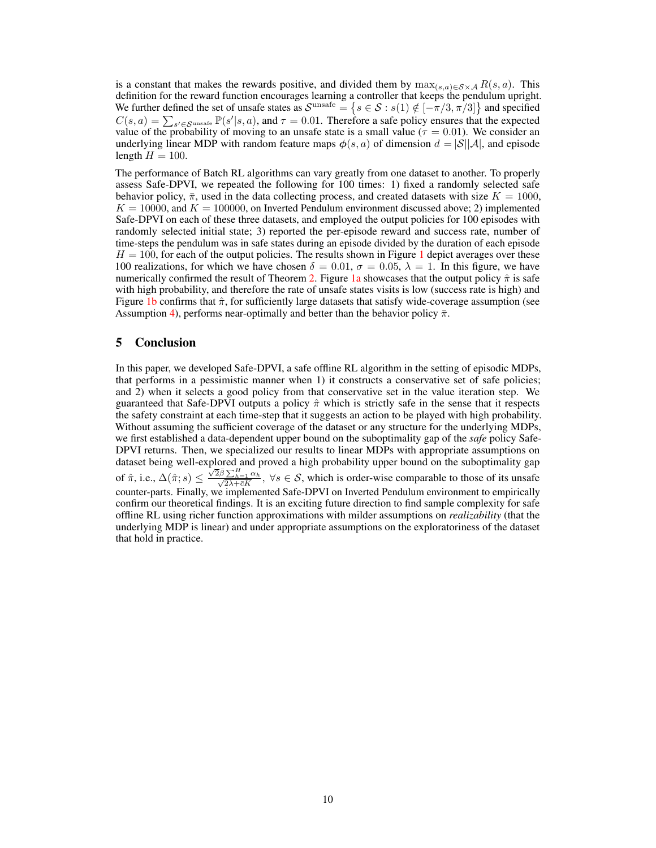is a constant that makes the rewards positive, and divided them by  $\max_{(s,a)\in S\times A} R(s,a)$ . This definition for the reward function encourages learning a controller that keeps the pendulum upright. We further defined the set of unsafe states as  $\mathcal{S}^{\text{unsafe}} = \{s \in \mathcal{S} : s(1) \notin [-\pi/3, \pi/3] \}$  and specified  $C(s, a) = \sum_{s' \in \mathcal{S}^{\text{unsafe}}} \mathbb{P}(s'|s, a)$ , and  $\tau = 0.01$ . Therefore a safe policy ensures that the expected value of the probability of moving to an unsafe state is a small value ( $\tau = 0.01$ ). We consider an underlying linear MDP with random feature maps  $\phi(s, a)$  of dimension  $d = |\mathcal{S}||\mathcal{A}|$ , and episode length  $H = 100$ .

The performance of Batch RL algorithms can vary greatly from one dataset to another. To properly assess Safe-DPVI, we repeated the following for 100 times: 1) fixed a randomly selected safe behavior policy,  $\bar{\pi}$ , used in the data collecting process, and created datasets with size  $K = 1000$ ,  $K = 10000$ , and  $K = 100000$ , on Inverted Pendulum environment discussed above; 2) implemented Safe-DPVI on each of these three datasets, and employed the output policies for 100 episodes with randomly selected initial state; 3) reported the per-episode reward and success rate, number of time-steps the pendulum was in safe states during an episode divided by the duration of each episode  $H = 100$  $H = 100$  $H = 100$ , for each of the output policies. The results shown in Figure 1 depict averages over these 100 realizations, for which we have chosen  $\delta = 0.01$ ,  $\sigma = 0.05$ ,  $\lambda = 1$ . In this figure, we have numerically confirmed the result of Theorem [2.](#page-7-0) Figure [1a](#page-8-1) showcases that the output policy  $\hat{\pi}$  is safe with high probability, and therefore the rate of unsafe states visits is low (success rate is high) and Figure [1b](#page-8-1) confirms that  $\hat{\pi}$ , for sufficiently large datasets that satisfy wide-coverage assumption (see Assumption [4\)](#page-7-3), performs near-optimally and better than the behavior policy  $\bar{\pi}$ .

### 5 Conclusion

In this paper, we developed Safe-DPVI, a safe offline RL algorithm in the setting of episodic MDPs, that performs in a pessimistic manner when 1) it constructs a conservative set of safe policies; and 2) when it selects a good policy from that conservative set in the value iteration step. We guaranteed that Safe-DPVI outputs a policy  $\hat{\pi}$  which is strictly safe in the sense that it respects the safety constraint at each time-step that it suggests an action to be played with high probability. Without assuming the sufficient coverage of the dataset or any structure for the underlying MDPs, we first established a data-dependent upper bound on the suboptimality gap of the *safe* policy Safe-DPVI returns. Then, we specialized our results to linear MDPs with appropriate assumptions on dataset being well-explored and proved a high probability upper bound on the suboptimality gap of  $\hat{\pi}$ , i.e.,  $\Delta(\hat{\pi};s) \leq$  $\frac{\sqrt{2}\bar{\beta} \sum_{h=1}^{H} \alpha_h}{\sqrt{2\lambda + cK}}$ ,  $\forall s \in S$ , which is order-wise comparable to those of its unsafe counter-parts. Finally, we implemented Safe-DPVI on Inverted Pendulum environment to empirically confirm our theoretical findings. It is an exciting future direction to find sample complexity for safe offline RL using richer function approximations with milder assumptions on *realizability* (that the underlying MDP is linear) and under appropriate assumptions on the exploratoriness of the dataset that hold in practice.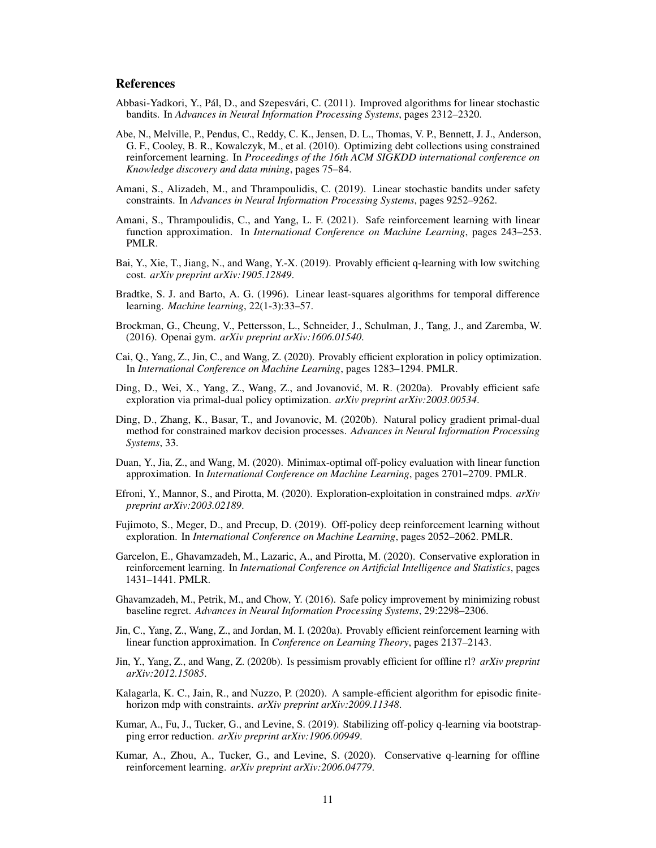### **References**

- <span id="page-10-17"></span>Abbasi-Yadkori, Y., Pál, D., and Szepesvári, C. (2011). Improved algorithms for linear stochastic bandits. In *Advances in Neural Information Processing Systems*, pages 2312–2320.
- <span id="page-10-6"></span>Abe, N., Melville, P., Pendus, C., Reddy, C. K., Jensen, D. L., Thomas, V. P., Bennett, J. J., Anderson, G. F., Cooley, B. R., Kowalczyk, M., et al. (2010). Optimizing debt collections using constrained reinforcement learning. In *Proceedings of the 16th ACM SIGKDD international conference on Knowledge discovery and data mining*, pages 75–84.
- <span id="page-10-14"></span>Amani, S., Alizadeh, M., and Thrampoulidis, C. (2019). Linear stochastic bandits under safety constraints. In *Advances in Neural Information Processing Systems*, pages 9252–9262.
- <span id="page-10-13"></span>Amani, S., Thrampoulidis, C., and Yang, L. F. (2021). Safe reinforcement learning with linear function approximation. In *International Conference on Machine Learning*, pages 243–253. PMLR.
- <span id="page-10-5"></span>Bai, Y., Xie, T., Jiang, N., and Wang, Y.-X. (2019). Provably efficient q-learning with low switching cost. *arXiv preprint arXiv:1905.12849*.
- <span id="page-10-15"></span>Bradtke, S. J. and Barto, A. G. (1996). Linear least-squares algorithms for temporal difference learning. *Machine learning*, 22(1-3):33–57.
- <span id="page-10-18"></span>Brockman, G., Cheung, V., Pettersson, L., Schneider, J., Schulman, J., Tang, J., and Zaremba, W. (2016). Openai gym. *arXiv preprint arXiv:1606.01540*.
- <span id="page-10-19"></span>Cai, Q., Yang, Z., Jin, C., and Wang, Z. (2020). Provably efficient exploration in policy optimization. In *International Conference on Machine Learning*, pages 1283–1294. PMLR.
- <span id="page-10-9"></span>Ding, D., Wei, X., Yang, Z., Wang, Z., and Jovanović, M. R. (2020a). Provably efficient safe exploration via primal-dual policy optimization. *arXiv preprint arXiv:2003.00534*.
- <span id="page-10-10"></span>Ding, D., Zhang, K., Basar, T., and Jovanovic, M. (2020b). Natural policy gradient primal-dual method for constrained markov decision processes. *Advances in Neural Information Processing Systems*, 33.
- <span id="page-10-0"></span>Duan, Y., Jia, Z., and Wang, M. (2020). Minimax-optimal off-policy evaluation with linear function approximation. In *International Conference on Machine Learning*, pages 2701–2709. PMLR.
- <span id="page-10-7"></span>Efroni, Y., Mannor, S., and Pirotta, M. (2020). Exploration-exploitation in constrained mdps. *arXiv preprint arXiv:2003.02189*.
- <span id="page-10-1"></span>Fujimoto, S., Meger, D., and Precup, D. (2019). Off-policy deep reinforcement learning without exploration. In *International Conference on Machine Learning*, pages 2052–2062. PMLR.
- <span id="page-10-8"></span>Garcelon, E., Ghavamzadeh, M., Lazaric, A., and Pirotta, M. (2020). Conservative exploration in reinforcement learning. In *International Conference on Artificial Intelligence and Statistics*, pages 1431–1441. PMLR.
- <span id="page-10-12"></span>Ghavamzadeh, M., Petrik, M., and Chow, Y. (2016). Safe policy improvement by minimizing robust baseline regret. *Advances in Neural Information Processing Systems*, 29:2298–2306.
- <span id="page-10-16"></span>Jin, C., Yang, Z., Wang, Z., and Jordan, M. I. (2020a). Provably efficient reinforcement learning with linear function approximation. In *Conference on Learning Theory*, pages 2137–2143.
- <span id="page-10-3"></span>Jin, Y., Yang, Z., and Wang, Z. (2020b). Is pessimism provably efficient for offline rl? *arXiv preprint arXiv:2012.15085*.
- <span id="page-10-11"></span>Kalagarla, K. C., Jain, R., and Nuzzo, P. (2020). A sample-efficient algorithm for episodic finitehorizon mdp with constraints. *arXiv preprint arXiv:2009.11348*.
- <span id="page-10-2"></span>Kumar, A., Fu, J., Tucker, G., and Levine, S. (2019). Stabilizing off-policy q-learning via bootstrapping error reduction. *arXiv preprint arXiv:1906.00949*.
- <span id="page-10-4"></span>Kumar, A., Zhou, A., Tucker, G., and Levine, S. (2020). Conservative q-learning for offline reinforcement learning. *arXiv preprint arXiv:2006.04779*.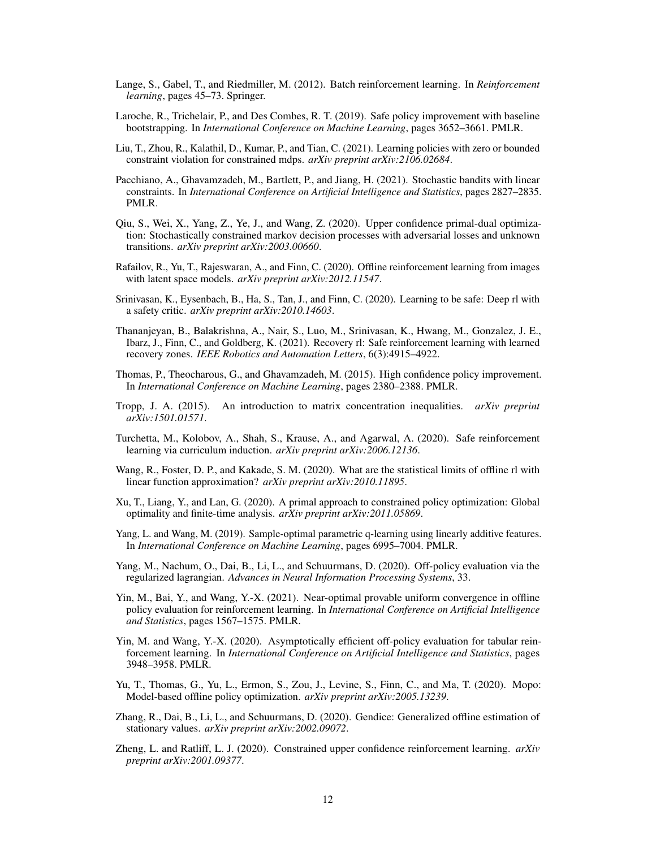- <span id="page-11-0"></span>Lange, S., Gabel, T., and Riedmiller, M. (2012). Batch reinforcement learning. In *Reinforcement learning*, pages 45–73. Springer.
- <span id="page-11-13"></span>Laroche, R., Trichelair, P., and Des Combes, R. T. (2019). Safe policy improvement with baseline bootstrapping. In *International Conference on Machine Learning*, pages 3652–3661. PMLR.
- <span id="page-11-12"></span>Liu, T., Zhou, R., Kalathil, D., Kumar, P., and Tian, C. (2021). Learning policies with zero or bounded constraint violation for constrained mdps. *arXiv preprint arXiv:2106.02684*.
- <span id="page-11-17"></span>Pacchiano, A., Ghavamzadeh, M., Bartlett, P., and Jiang, H. (2021). Stochastic bandits with linear constraints. In *International Conference on Artificial Intelligence and Statistics*, pages 2827–2835. PMLR.
- <span id="page-11-10"></span>Qiu, S., Wei, X., Yang, Z., Ye, J., and Wang, Z. (2020). Upper confidence primal-dual optimization: Stochastically constrained markov decision processes with adversarial losses and unknown transitions. *arXiv preprint arXiv:2003.00660*.
- <span id="page-11-7"></span>Rafailov, R., Yu, T., Rajeswaran, A., and Finn, C. (2020). Offline reinforcement learning from images with latent space models. *arXiv preprint arXiv:2012.11547*.
- <span id="page-11-15"></span>Srinivasan, K., Eysenbach, B., Ha, S., Tan, J., and Finn, C. (2020). Learning to be safe: Deep rl with a safety critic. *arXiv preprint arXiv:2010.14603*.
- <span id="page-11-16"></span>Thananjeyan, B., Balakrishna, A., Nair, S., Luo, M., Srinivasan, K., Hwang, M., Gonzalez, J. E., Ibarz, J., Finn, C., and Goldberg, K. (2021). Recovery rl: Safe reinforcement learning with learned recovery zones. *IEEE Robotics and Automation Letters*, 6(3):4915–4922.
- <span id="page-11-14"></span>Thomas, P., Theocharous, G., and Ghavamzadeh, M. (2015). High confidence policy improvement. In *International Conference on Machine Learning*, pages 2380–2388. PMLR.
- <span id="page-11-19"></span>Tropp, J. A. (2015). An introduction to matrix concentration inequalities. *arXiv preprint arXiv:1501.01571*.
- <span id="page-11-8"></span>Turchetta, M., Kolobov, A., Shah, S., Krause, A., and Agarwal, A. (2020). Safe reinforcement learning via curriculum induction. *arXiv preprint arXiv:2006.12136*.
- <span id="page-11-1"></span>Wang, R., Foster, D. P., and Kakade, S. M. (2020). What are the statistical limits of offline rl with linear function approximation? *arXiv preprint arXiv:2010.11895*.
- <span id="page-11-11"></span>Xu, T., Liang, Y., and Lan, G. (2020). A primal approach to constrained policy optimization: Global optimality and finite-time analysis. *arXiv preprint arXiv:2011.05869*.
- <span id="page-11-18"></span>Yang, L. and Wang, M. (2019). Sample-optimal parametric q-learning using linearly additive features. In *International Conference on Machine Learning*, pages 6995–7004. PMLR.
- <span id="page-11-2"></span>Yang, M., Nachum, O., Dai, B., Li, L., and Schuurmans, D. (2020). Off-policy evaluation via the regularized lagrangian. *Advances in Neural Information Processing Systems*, 33.
- <span id="page-11-5"></span>Yin, M., Bai, Y., and Wang, Y.-X. (2021). Near-optimal provable uniform convergence in offline policy evaluation for reinforcement learning. In *International Conference on Artificial Intelligence and Statistics*, pages 1567–1575. PMLR.
- <span id="page-11-4"></span>Yin, M. and Wang, Y.-X. (2020). Asymptotically efficient off-policy evaluation for tabular reinforcement learning. In *International Conference on Artificial Intelligence and Statistics*, pages 3948–3958. PMLR.
- <span id="page-11-6"></span>Yu, T., Thomas, G., Yu, L., Ermon, S., Zou, J., Levine, S., Finn, C., and Ma, T. (2020). Mopo: Model-based offline policy optimization. *arXiv preprint arXiv:2005.13239*.
- <span id="page-11-3"></span>Zhang, R., Dai, B., Li, L., and Schuurmans, D. (2020). Gendice: Generalized offline estimation of stationary values. *arXiv preprint arXiv:2002.09072*.
- <span id="page-11-9"></span>Zheng, L. and Ratliff, L. J. (2020). Constrained upper confidence reinforcement learning. *arXiv preprint arXiv:2001.09377*.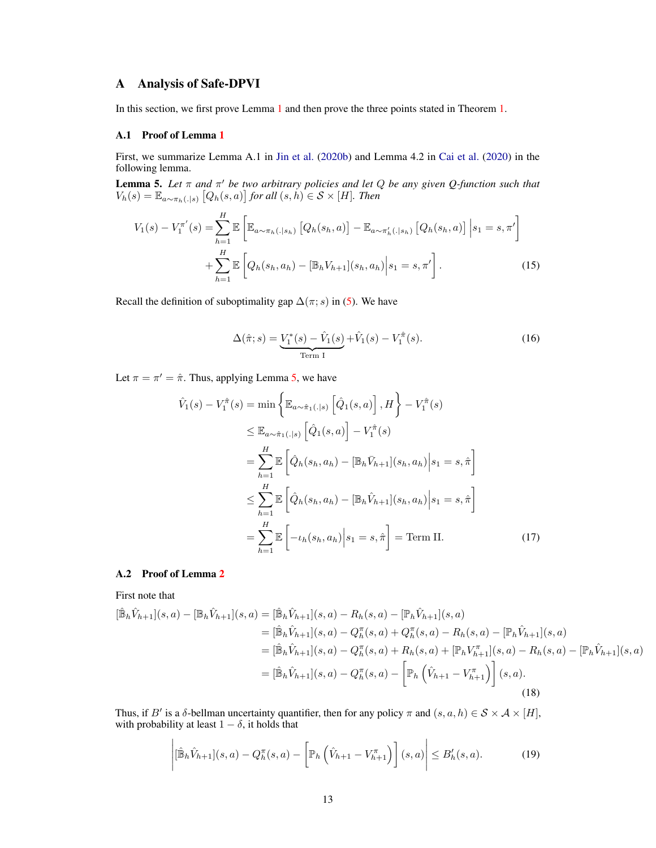# A Analysis of Safe-DPVI

In this section, we first prove Lemma [1](#page-5-1) and then prove the three points stated in Theorem [1.](#page-4-0)

### <span id="page-12-0"></span>A.1 Proof of Lemma [1](#page-5-1)

First, we summarize Lemma A.1 in [Jin et al.](#page-10-3) [\(2020b\)](#page-10-3) and Lemma 4.2 in [Cai et al.](#page-10-19) [\(2020\)](#page-10-19) in the following lemma.

<span id="page-12-2"></span>Lemma 5. *Let* π *and* π <sup>0</sup> *be two arbitrary policies and let* Q *be any given Q-function such that*  $V_h(s) = \mathbb{E}_{a \sim \pi_h(.|s)} [Q_h(s, a)]$  for all  $(s, h) \in S \times [H]$ *. Then* 

$$
V_{1}(s) - V_{1}^{\pi'}(s) = \sum_{h=1}^{H} \mathbb{E} \left[ \mathbb{E}_{a \sim \pi_{h}(.|s_{h})} \left[ Q_{h}(s_{h}, a) \right] - \mathbb{E}_{a \sim \pi'_{h}(.|s_{h})} \left[ Q_{h}(s_{h}, a) \right] \Big| s_{1} = s, \pi' \right] + \sum_{h=1}^{H} \mathbb{E} \left[ Q_{h}(s_{h}, a_{h}) - [\mathbb{B}_{h}V_{h+1}](s_{h}, a_{h}) \Big| s_{1} = s, \pi' \right].
$$
 (15)

Recall the definition of suboptimality gap  $\Delta(\pi; s)$  in [\(5\)](#page-2-0). We have

$$
\Delta(\hat{\pi}; s) = \underbrace{V_1^*(s) - \hat{V}_1(s)}_{\text{Term I}} + \hat{V}_1(s) - V_1^{\hat{\pi}}(s).
$$
\n(16)

Let  $\pi = \pi' = \hat{\pi}$ . Thus, applying Lemma [5,](#page-12-2) we have

$$
\hat{V}_{1}(s) - V_{1}^{\hat{\pi}}(s) = \min \left\{ \mathbb{E}_{a \sim \hat{\pi}_{1}(.|s)} \left[ \hat{Q}_{1}(s, a) \right], H \right\} - V_{1}^{\hat{\pi}}(s)
$$
\n
$$
\leq \mathbb{E}_{a \sim \hat{\pi}_{1}(.|s)} \left[ \hat{Q}_{1}(s, a) \right] - V_{1}^{\hat{\pi}}(s)
$$
\n
$$
= \sum_{h=1}^{H} \mathbb{E} \left[ \hat{Q}_{h}(s_{h}, a_{h}) - [\mathbb{B}_{h} \bar{V}_{h+1}](s_{h}, a_{h}) \Big| s_{1} = s, \hat{\pi} \right]
$$
\n
$$
\leq \sum_{h=1}^{H} \mathbb{E} \left[ \hat{Q}_{h}(s_{h}, a_{h}) - [\mathbb{B}_{h} \hat{V}_{h+1}](s_{h}, a_{h}) \Big| s_{1} = s, \hat{\pi} \right]
$$
\n
$$
= \sum_{h=1}^{H} \mathbb{E} \left[ -\iota_{h}(s_{h}, a_{h}) \Big| s_{1} = s, \hat{\pi} \right] = \text{Term II.}
$$
\n(17)

#### <span id="page-12-1"></span>A.2 Proof of Lemma [2](#page-5-0)

First note that

$$
[\hat{\mathbb{B}}_h \hat{V}_{h+1}](s, a) - [\mathbb{B}_h \hat{V}_{h+1}](s, a) = [\hat{\mathbb{B}}_h \hat{V}_{h+1}](s, a) - R_h(s, a) - [\mathbb{P}_h \hat{V}_{h+1}](s, a)
$$
  
\n
$$
= [\hat{\mathbb{B}}_h \hat{V}_{h+1}](s, a) - Q_h^{\pi}(s, a) + Q_h^{\pi}(s, a) - R_h(s, a) - [\mathbb{P}_h \hat{V}_{h+1}](s, a)
$$
  
\n
$$
= [\hat{\mathbb{B}}_h \hat{V}_{h+1}](s, a) - Q_h^{\pi}(s, a) + R_h(s, a) + [\mathbb{P}_h V_{h+1}^{\pi}](s, a) - R_h(s, a) - [\mathbb{P}_h \hat{V}_{h+1}](s, a)
$$
  
\n
$$
= [\hat{\mathbb{B}}_h \hat{V}_{h+1}](s, a) - Q_h^{\pi}(s, a) - \left[\mathbb{P}_h \left(\hat{V}_{h+1} - V_{h+1}^{\pi}\right)\right](s, a).
$$
  
\n(18)

Thus, if B' is a  $\delta$ -bellman uncertainty quantifier, then for any policy  $\pi$  and  $(s, a, h) \in S \times A \times [H]$ , with probability at least  $1 - \delta$ , it holds that

<span id="page-12-3"></span>
$$
\left| \left[ \hat{\mathbb{B}}_h \hat{V}_{h+1} \right](s, a) - Q_h^{\pi}(s, a) - \left[ \mathbb{P}_h \left( \hat{V}_{h+1} - V_{h+1}^{\pi} \right) \right](s, a) \right| \le B_h'(s, a). \tag{19}
$$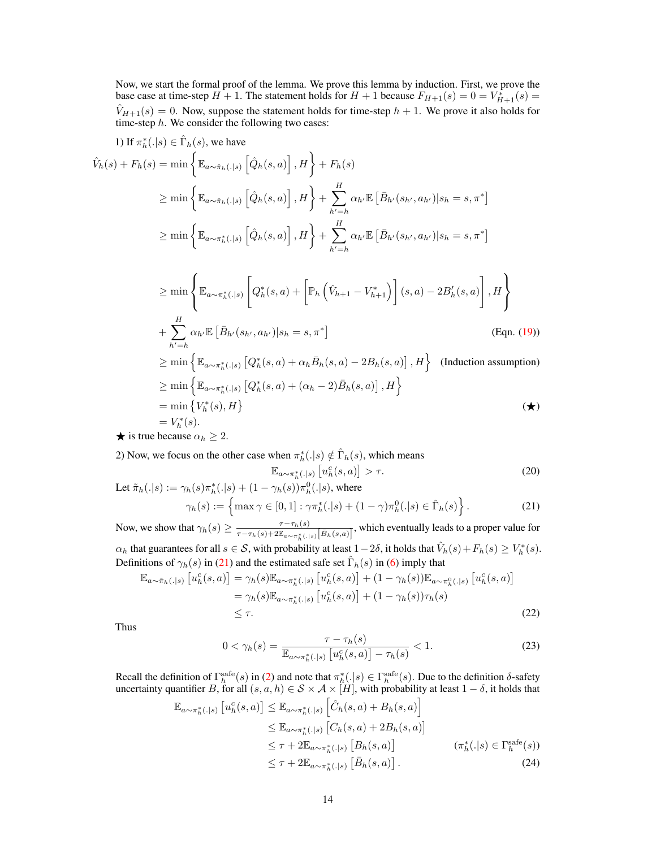Now, we start the formal proof of the lemma. We prove this lemma by induction. First, we prove the base case at time-step  $H + 1$ . The statement holds for  $H + 1$  because  $F_{H+1}(s) = 0 = V_{H+1}^*(s) =$  $\hat{V}_{H+1}(s) = 0$ . Now, suppose the statement holds for time-step  $h + 1$ . We prove it also holds for time-step  $h$ . We consider the following two cases:

1) If 
$$
\pi_h^*(.|s) \in \hat{\Gamma}_h(s)
$$
, we have  
\n
$$
\hat{V}_h(s) + F_h(s) = \min \left\{ \mathbb{E}_{a \sim \hat{\pi}_h(.|s)} \left[ \hat{Q}_h(s, a) \right], H \right\} + F_h(s)
$$
\n
$$
\geq \min \left\{ \mathbb{E}_{a \sim \hat{\pi}_h(.|s)} \left[ \hat{Q}_h(s, a) \right], H \right\} + \sum_{h'=h}^H \alpha_{h'} \mathbb{E} \left[ \bar{B}_{h'}(s_{h'}, a_{h'}) | s_h = s, \pi^* \right]
$$
\n
$$
\geq \min \left\{ \mathbb{E}_{a \sim \pi_h^*(.|s)} \left[ \hat{Q}_h(s, a) \right], H \right\} + \sum_{h'=h}^H \alpha_{h'} \mathbb{E} \left[ \bar{B}_{h'}(s_{h'}, a_{h'}) | s_h = s, \pi^* \right]
$$
\n
$$
\geq \min \left\{ \mathbb{E}_{a \sim \pi_h^*(.|s)} \left[ Q_h^*(s, a) + \left[ \mathbb{P}_h \left( \hat{V}_{h+1} - V_{h+1}^* \right) \right] (s, a) - 2B_h'(s, a) \right], H \right\}
$$
\n
$$
+ \sum_{h'=h}^H \alpha_{h'} \mathbb{E} \left[ \bar{B}_{h'}(s_{h'}, a_{h'}) | s_h = s, \pi^* \right] \qquad \text{(Eqn. (19))}
$$
\n
$$
\geq \min \left\{ \mathbb{E}_{a \sim \pi_h^*(.|s)} \left[ Q_h^*(s, a) + \alpha_h \bar{B}_h(s, a) - 2B_h(s, a) \right], H \right\} \qquad \text{(Induction assumption)}
$$
\n
$$
\geq \min \left\{ \mathbb{E}_{a \sim \pi_h^*(.|s)} \left[ Q_h^*(s, a) + (\alpha_h - 2) \bar{B}_h(s, a) \right], H \right\}
$$
\n
$$
= \min \left\{ V_h^*(s), H \right\}
$$
\n
$$
\neq \mathbf{x}
$$
 is true because  $\alpha_h \geq 2$ .

2) Now, we focus on the other case when  $\pi_h^*(.|s) \notin \hat{\Gamma}_h(s)$ , which means

<span id="page-13-0"></span>
$$
\mathbb{E}_{a \sim \pi_h^*(.|s)} \left[ u_h^c(s, a) \right] > \tau. \tag{20}
$$

Let 
$$
\tilde{\pi}_h(.|s) := \gamma_h(s)\pi_h^*(.|s) + (1 - \gamma_h(s))\pi_h^0(.|s)
$$
, where  $\gamma_h(s) := \left\{\max \gamma \in [0,1] : \gamma \pi_h^*(.|s) + (1 - \gamma)\pi_h^0(.|s) \in \hat{\Gamma}_h(s)\right\}.$  (21)

Now, we show that  $\gamma_h(s) \geq \frac{\tau - \tau_h(s)}{\tau - \tau_h(s) + 2\mathbb{F}}$  $\frac{\tau-\tau_h(s)}{\tau-\tau_h(s)+2\mathbb{E}_{a\sim\pi_h^*(.|s)}[\bar{B}_h(s,a)]}$ , which eventually leads to a proper value for  $\alpha_h$  that guarantees for all  $s \in \mathcal{S}$ , with probability at least  $1-2\delta$ , it holds that  $\hat{V}_h(s) + F_h(s) \geq V_h^*(s)$ . Definitions of  $\gamma_h(s)$  in [\(21\)](#page-13-0) and the estimated safe set  $\hat{\Gamma}_h(s)$  in [\(6\)](#page-4-2) imply that

$$
\mathbb{E}_{a \sim \tilde{\pi}_h(.|s)} \left[ u_h^c(s, a) \right] = \gamma_h(s) \mathbb{E}_{a \sim \pi_h^*(.|s)} \left[ u_h^c(s, a) \right] + (1 - \gamma_h(s)) \mathbb{E}_{a \sim \pi_h^0(.|s)} \left[ u_h^c(s, a) \right]
$$
  
=  $\gamma_h(s) \mathbb{E}_{a \sim \pi_h^*(.|s)} \left[ u_h^c(s, a) \right] + (1 - \gamma_h(s)) \tau_h(s)$   
 $\leq \tau.$  (22)

Thus

<span id="page-13-2"></span><span id="page-13-1"></span>
$$
0 < \gamma_h(s) = \frac{\tau - \tau_h(s)}{\mathbb{E}_{a \sim \pi_h^*(.|s)} \left[ u_h^c(s, a) \right] - \tau_h(s)} < 1. \tag{23}
$$

Recall the definition of  $\Gamma_h^{\text{safe}}(s)$  in [\(2\)](#page-2-1) and note that  $\pi_h^*(.|s) \in \Gamma_h^{\text{safe}}(s)$ . Due to the definition  $\delta$ -safety uncertainty quantifier B, for all  $(s, a, h) \in S \times A \times [H]$ , with probability at least  $1 - \delta$ , it holds that

$$
\mathbb{E}_{a \sim \pi_h^*(.|s)} \left[ u_h^c(s, a) \right] \leq \mathbb{E}_{a \sim \pi_h^*(.|s)} \left[ \hat{C}_h(s, a) + B_h(s, a) \right]
$$
  
\n
$$
\leq \mathbb{E}_{a \sim \pi_h^*(.|s)} \left[ C_h(s, a) + 2B_h(s, a) \right]
$$
  
\n
$$
\leq \tau + 2\mathbb{E}_{a \sim \pi_h^*(.|s)} \left[ B_h(s, a) \right] \qquad (\pi_h^*(.|s) \in \Gamma_h^{\text{safe}}(s))
$$
  
\n
$$
\leq \tau + 2\mathbb{E}_{a \sim \pi_h^*(.|s)} \left[ \bar{B}_h(s, a) \right]. \qquad (\mathcal{A})
$$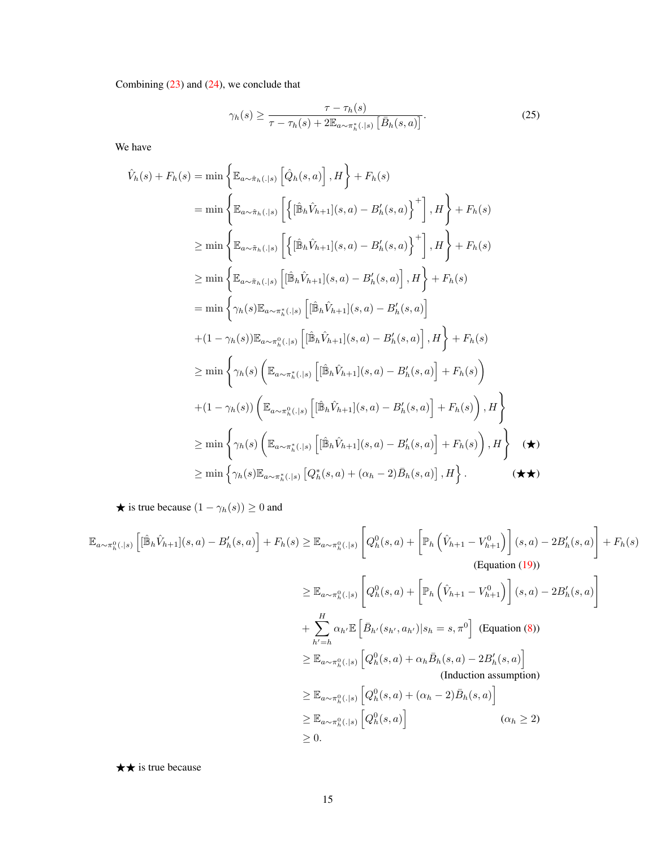Combining  $(23)$  and  $(24)$ , we conclude that

<span id="page-14-0"></span>
$$
\gamma_h(s) \ge \frac{\tau - \tau_h(s)}{\tau - \tau_h(s) + 2\mathbb{E}_{a \sim \pi_h^*(.|s)}\left[\bar{B}_h(s, a)\right]}.
$$
\n(25)

We have

$$
\hat{V}_{h}(s) + F_{h}(s) = \min \left\{ \mathbb{E}_{a \sim \hat{\pi}_{h}(.|s)} \left[ \hat{Q}_{h}(s, a) \right], H \right\} + F_{h}(s)
$$
\n
$$
= \min \left\{ \mathbb{E}_{a \sim \hat{\pi}_{h}(.|s)} \left[ \left\{ \left[ \hat{\mathbb{B}}_{h} \hat{V}_{h+1} \right] (s, a) - B'_{h}(s, a) \right\}^{+} \right], H \right\} + F_{h}(s)
$$
\n
$$
\geq \min \left\{ \mathbb{E}_{a \sim \hat{\pi}_{h}(.|s)} \left[ \left\{ \left[ \hat{\mathbb{B}}_{h} \hat{V}_{h+1} \right] (s, a) - B'_{h}(s, a) \right\}^{+} \right], H \right\} + F_{h}(s)
$$
\n
$$
\geq \min \left\{ \mathbb{E}_{a \sim \hat{\pi}_{h}(.|s)} \left[ \left[ \hat{\mathbb{B}}_{h} \hat{V}_{h+1} \right] (s, a) - B'_{h}(s, a) \right], H \right\} + F_{h}(s)
$$
\n
$$
= \min \left\{ \gamma_{h}(s) \mathbb{E}_{a \sim \pi_{h}^{s}(.|s)} \left[ \left[ \hat{\mathbb{B}}_{h} \hat{V}_{h+1} \right] (s, a) - B'_{h}(s, a) \right] \right.
$$
\n
$$
+ (1 - \gamma_{h}(s)) \mathbb{E}_{a \sim \pi_{h}^{0}(.|s)} \left[ \left[ \hat{\mathbb{B}}_{h} \hat{V}_{h+1} \right] (s, a) - B'_{h}(s, a) \right], H \right\} + F_{h}(s)
$$
\n
$$
\geq \min \left\{ \gamma_{h}(s) \left( \mathbb{E}_{a \sim \pi_{h}^{s}(.|s)} \left[ \left[ \hat{\mathbb{B}}_{h} \hat{V}_{h+1} \right] (s, a) - B'_{h}(s, a) \right] + F_{h}(s) \right) \right.
$$
\n
$$
+ (1 - \gamma_{h}(s)) \left( \mathbb{E}_{a \sim \pi_{h}^{0}(.|s)} \left[ \left[ \hat{\mathbb{B}}_{h} \hat{V}_{h+1} \right] (s, a
$$

 $\bigstar$  is true because  $(1 - \gamma_h(s)) \geq 0$  and

$$
\mathbb{E}_{a\sim\pi_h^0(.|s)}\left[ [\hat{\mathbb{B}}_h\hat{V}_{h+1}](s,a) - B'_h(s,a) \right] + F_h(s) \geq \mathbb{E}_{a\sim\pi_h^0(.|s)}\left[ Q_h^0(s,a) + \left[ \mathbb{P}_h\left(\hat{V}_{h+1} - V_{h+1}^0\right) \right](s,a) - 2B'_h(s,a) \right] + F_h(s)
$$
\n(Equation (19))

\n
$$
\geq \mathbb{E}_{a\sim\pi_h^0(.|s)}\left[ Q_h^0(s,a) + \left[ \mathbb{P}_h\left(\hat{V}_{h+1} - V_{h+1}^0\right) \right](s,a) - 2B'_h(s,a) \right]
$$
\n
$$
+ \sum_{h'=h}^H \alpha_{h'} \mathbb{E}\left[ \bar{B}_{h'}(s_{h'}, a_{h'})|s_h = s, \pi^0 \right] \text{ (Equation (8))}
$$
\n
$$
\geq \mathbb{E}_{a\sim\pi_h^0(.|s)}\left[ Q_h^0(s,a) + \alpha_h \bar{B}_h(s,a) - 2B'_h(s,a) \right]
$$
\n(Induction assumption)

\n
$$
\geq \mathbb{E}_{a\sim\pi_h^0(.|s)}\left[ Q_h^0(s,a) + (\alpha_h - 2)\bar{B}_h(s,a) \right]
$$
\n(Induction assumption)

\n
$$
\geq \mathbb{E}_{a\sim\pi_h^0(.|s)}\left[ Q_h^0(s,a) \right] \qquad (\alpha_h \geq 2)
$$
\n
$$
\geq 0.
$$

 $\star \star$  is true because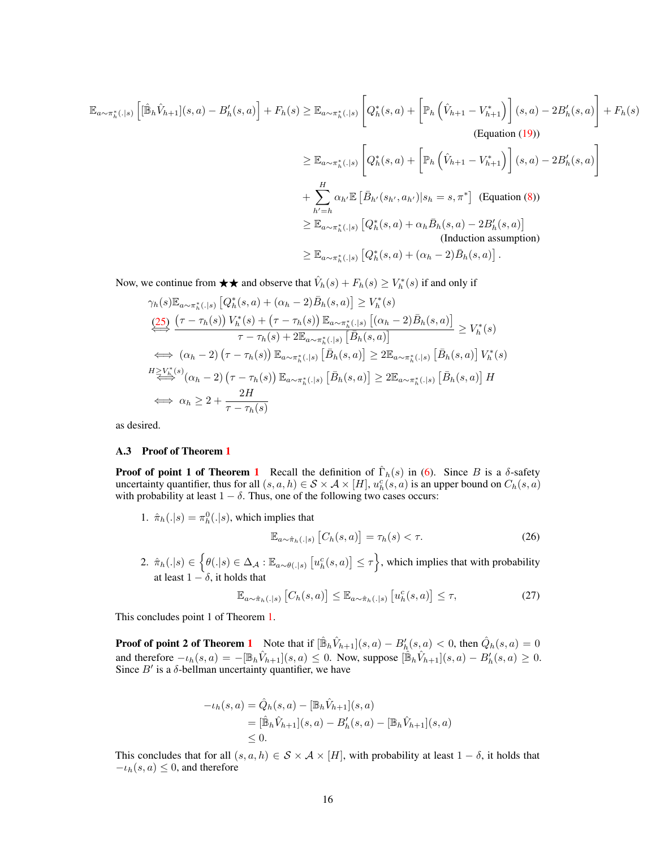$$
\mathbb{E}_{a \sim \pi_h^*(.|s)} \left[ [\hat{\mathbb{B}}_h \hat{V}_{h+1}](s, a) - B'_h(s, a) \right] + F_h(s) \geq \mathbb{E}_{a \sim \pi_h^*(.|s)} \left[ Q_h^*(s, a) + \left[ \mathbb{P}_h \left( \hat{V}_{h+1} - V_{h+1}^* \right) \right] (s, a) - 2B'_h(s, a) \right] + F_h(s)
$$
\n(Equation (19))

\n
$$
\geq \mathbb{E}_{a \sim \pi_h^*(.|s)} \left[ Q_h^*(s, a) + \left[ \mathbb{P}_h \left( \hat{V}_{h+1} - V_{h+1}^* \right) \right] (s, a) - 2B'_h(s, a) \right]
$$
\n
$$
+ \sum_{h'=h}^{H} \alpha_{h'} \mathbb{E} \left[ \bar{B}_{h'}(s_{h'}, a_{h'}) | s_h = s, \pi^* \right] \text{ (Equation (8))}
$$
\n
$$
\geq \mathbb{E}_{a \sim \pi_h^*(.|s)} \left[ Q_h^*(s, a) + \alpha_h \bar{B}_h(s, a) - 2B'_h(s, a) \right]
$$
\n(Induction assumption)

\n
$$
\geq \mathbb{E}_{a \sim \pi_h^*(.|s)} \left[ Q_h^*(s, a) + \alpha_h \bar{B}_h(s, a) - 2B'_h(s, a) \right].
$$

Now, we continue from  $\bigstar \bigstar$  and observe that  $\hat{V}_h(s) + F_h(s) \geq V_h^*(s)$  if and only if

$$
\gamma_h(s) \mathbb{E}_{a \sim \pi_h^*(.|s)} \left[ Q_h^*(s, a) + (\alpha_h - 2) \bar{B}_h(s, a) \right] \ge V_h^*(s)
$$
\n
$$
\stackrel{\text{(25)}}{\iff} \frac{(\tau - \tau_h(s)) V_h^*(s) + (\tau - \tau_h(s)) \mathbb{E}_{a \sim \pi_h^*(.|s)} \left[ (\alpha_h - 2) \bar{B}_h(s, a) \right]}{\tau - \tau_h(s) + 2 \mathbb{E}_{a \sim \pi_h^*(.|s)} \left[ \bar{B}_h(s, a) \right]} \ge V_h^*(s)
$$
\n
$$
\Leftrightarrow (\alpha_h - 2) (\tau - \tau_h(s)) \mathbb{E}_{a \sim \pi_h^*(.|s)} \left[ \bar{B}_h(s, a) \right] \ge 2 \mathbb{E}_{a \sim \pi_h^*(.|s)} \left[ \bar{B}_h(s, a) \right] V_h^*(s)
$$
\n
$$
\stackrel{H \ge V_h^*(s)}{\iff} (\alpha_h - 2) (\tau - \tau_h(s)) \mathbb{E}_{a \sim \pi_h^*(.|s)} \left[ \bar{B}_h(s, a) \right] \ge 2 \mathbb{E}_{a \sim \pi_h^*(.|s)} \left[ \bar{B}_h(s, a) \right] H
$$
\n
$$
\Leftrightarrow \alpha_h \ge 2 + \frac{2H}{\tau - \tau_h(s)}
$$

as desired.

#### <span id="page-15-0"></span>A.3 Proof of Theorem [1](#page-4-0)

**Proof of point [1](#page-4-0) of Theorem 1** Recall the definition of  $\hat{\Gamma}_h(s)$  in [\(6\)](#page-4-2). Since B is a  $\delta$ -safety uncertainty quantifier, thus for all  $(s, a, h) \in S \times A \times [H]$ ,  $u_h^c(s, a)$  is an upper bound on  $C_h(s, a)$ with probability at least  $1 - \delta$ . Thus, one of the following two cases occurs:

1.  $\hat{\pi}_h(.|s) = \pi_h^0(.|s)$ , which implies that

$$
\mathbb{E}_{a \sim \hat{\pi}_h(.|s)} \left[ C_h(s, a) \right] = \tau_h(s) < \tau. \tag{26}
$$

 $2. \ \hat{\pi}_h(.|s) \in \left\{\theta(.|s) \in \Delta_{\mathcal{A}} : \mathbb{E}_{a \sim \theta(.|s)} \left[u^c_h(s,a)\right] \leq \tau\right\}$ , which implies that with probability at least  $1 - \delta$ , it holds that

$$
\mathbb{E}_{a \sim \hat{\pi}_h(.|s)} \left[ C_h(s, a) \right] \le \mathbb{E}_{a \sim \hat{\pi}_h(.|s)} \left[ u_h^c(s, a) \right] \le \tau,
$$
\n(27)

This concludes point 1 of Theorem [1.](#page-4-0)

**Proof of point 2 of Theorem [1](#page-4-0)** Note that if  $[\hat{\mathbb{B}}_h \hat{V}_{h+1}](s, a) - B'_h(s, a) < 0$ , then  $\hat{Q}_h(s, a) = 0$ and therefore  $-\iota_h(s, a) = -[\mathbb{B}_h \hat{V}_{h+1}](s, a) \le 0$ . Now, suppose  $[\hat{\mathbb{B}}_h \hat{V}_{h+1}](s, a) - B'_h(s, a) \ge 0$ . Since  $B'$  is a  $\delta$ -bellman uncertainty quantifier, we have

$$
-i_h(s, a) = \hat{Q}_h(s, a) - [\mathbb{B}_h \hat{V}_{h+1}](s, a)
$$
  
=  $[\hat{\mathbb{B}}_h \hat{V}_{h+1}](s, a) - B'_h(s, a) - [\mathbb{B}_h \hat{V}_{h+1}](s, a)$   
 $\leq 0.$ 

This concludes that for all  $(s, a, h) \in S \times A \times [H]$ , with probability at least  $1 - \delta$ , it holds that  $-t<sub>h</sub>(s, a) \leq 0$ , and therefore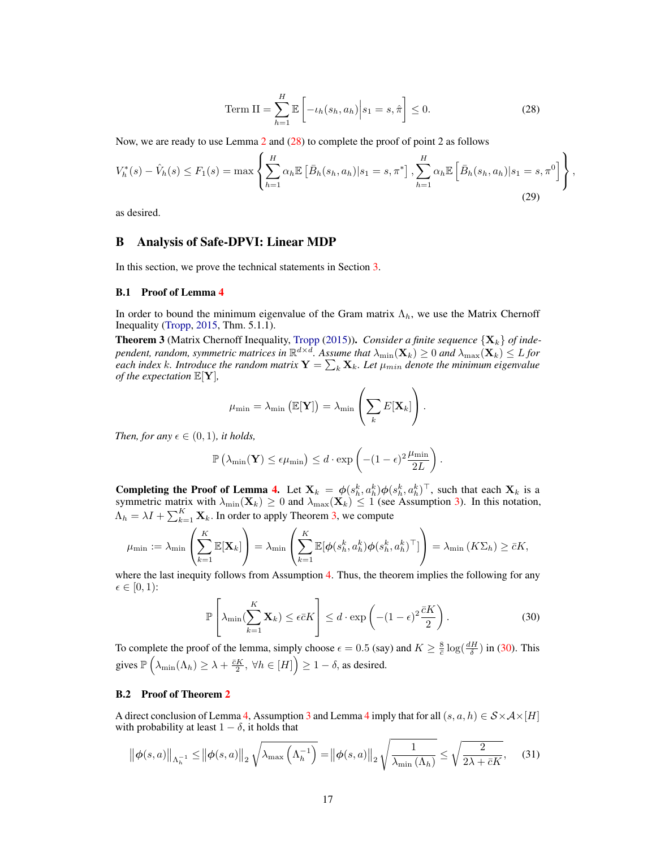<span id="page-16-2"></span>Term II = 
$$
\sum_{h=1}^{H} \mathbb{E}\left[-\iota_h(s_h, a_h)\middle| s_1 = s, \hat{\pi}\right] \leq 0.
$$
 (28)

Now, we are ready to use Lemma [2](#page-5-0) and [\(28\)](#page-16-2) to complete the proof of point 2 as follows

$$
V_h^*(s) - \hat{V}_h(s) \le F_1(s) = \max \left\{ \sum_{h=1}^H \alpha_h \mathbb{E} \left[ \bar{B}_h(s_h, a_h) | s_1 = s, \pi^* \right], \sum_{h=1}^H \alpha_h \mathbb{E} \left[ \bar{B}_h(s_h, a_h) | s_1 = s, \pi^0 \right] \right\},\tag{29}
$$

as desired.

### <span id="page-16-0"></span>B Analysis of Safe-DPVI: Linear MDP

In this section, we prove the technical statements in Section [3.](#page-6-2)

#### <span id="page-16-1"></span>B.1 Proof of Lemma [4](#page-7-5)

In order to bound the minimum eigenvalue of the Gram matrix  $\Lambda_h$ , we use the Matrix Chernoff Inequality [\(Tropp,](#page-11-19) [2015,](#page-11-19) Thm. 5.1.1).

<span id="page-16-3"></span>**Theorem 3** (Matrix Chernoff Inequality, [Tropp](#page-11-19) [\(2015\)](#page-11-19)). *Consider a finite sequence*  $\{X_k\}$  *of inde*pendent, random, symmetric matrices in  $\R^{d\times d}.$  Assume that  $\lambda_{\min}(\mathbf{X}_k)\geq 0$  and  $\lambda_{\max}(\mathbf{X}_k)\leq L$  for each index k. Introduce the random matrix  $Y = \sum_k X_k$ . Let  $\mu_{min}$  denote the minimum eigenvalue *of the expectation* E[Y]*,*

<span id="page-16-4"></span>
$$
\mu_{\min} = \lambda_{\min} \left( \mathbb{E}[\mathbf{Y}] \right) = \lambda_{\min} \left( \sum_{k} E[\mathbf{X}_{k}] \right).
$$

*Then, for any*  $\epsilon \in (0, 1)$ *, it holds,* 

$$
\mathbb{P}\left(\lambda_{\min}(\mathbf{Y}) \leq \epsilon \mu_{\min}\right) \leq d \cdot \exp\left(-(1-\epsilon)^2 \frac{\mu_{\min}}{2L}\right).
$$

**Completing the Proof of Lemma [4.](#page-7-5)** Let  $X_k = \phi(s_h^k, a_h^k) \phi(s_h^k, a_h^k)^\top$ , such that each  $X_k$  is a symmetric matrix with  $\lambda_{\min}(\mathbf{X}_k) \ge 0$  and  $\lambda_{\max}(\mathbf{X}_k) \le 1$  (see Assumption [3\)](#page-7-2). In this notation,  $\Lambda_h = \lambda I + \sum_{k=1}^K \mathbf{X}_k$ . In order to apply Theorem [3,](#page-16-3) we compute

$$
\mu_{\min} := \lambda_{\min} \left( \sum_{k=1}^K \mathbb{E}[\mathbf{X}_k] \right) = \lambda_{\min} \left( \sum_{k=1}^K \mathbb{E}[\phi(s_h^k, a_h^k) \phi(s_h^k, a_h^k)^\top] \right) = \lambda_{\min} \left( K \Sigma_h \right) \geq \bar{c} K,
$$

where the last inequity follows from Assumption [4.](#page-7-3) Thus, the theorem implies the following for any  $\epsilon \in [0, 1)$ :

$$
\mathbb{P}\left[\lambda_{\min}\left(\sum_{k=1}^{K} \mathbf{X}_{k}\right) \leq \epsilon \bar{c} K\right] \leq d \cdot \exp\left(-(1-\epsilon)^{2} \frac{\bar{c} K}{2}\right). \tag{30}
$$

To complete the proof of the lemma, simply choose  $\epsilon = 0.5$  (say) and  $K \ge \frac{8}{\epsilon} \log(\frac{dH}{\delta})$  in [\(30\)](#page-16-4). This gives  $\mathbb{P}\left(\lambda_{\min}(\Lambda_h) \geq \lambda + \frac{\bar{c}K}{2}, \forall h \in [H]\right) \geq 1 - \delta$ , as desired.

### B.2 Proof of Theorem [2](#page-7-0)

A direct conclusion of Lemma [4,](#page-7-5) Assumption [3](#page-7-2) and Lemma [4](#page-7-5) imply that for all  $(s, a, h) \in S \times A \times [H]$ with probability at least  $1 - \delta$ , it holds that

$$
\left\|\phi(s,a)\right\|_{\Lambda_h^{-1}} \le \left\|\phi(s,a)\right\|_2 \sqrt{\lambda_{\max}\left(\Lambda_h^{-1}\right)} = \left\|\phi(s,a)\right\|_2 \sqrt{\frac{1}{\lambda_{\min}\left(\Lambda_h\right)}} \le \sqrt{\frac{2}{2\lambda + \bar{c}K}},\tag{31}
$$